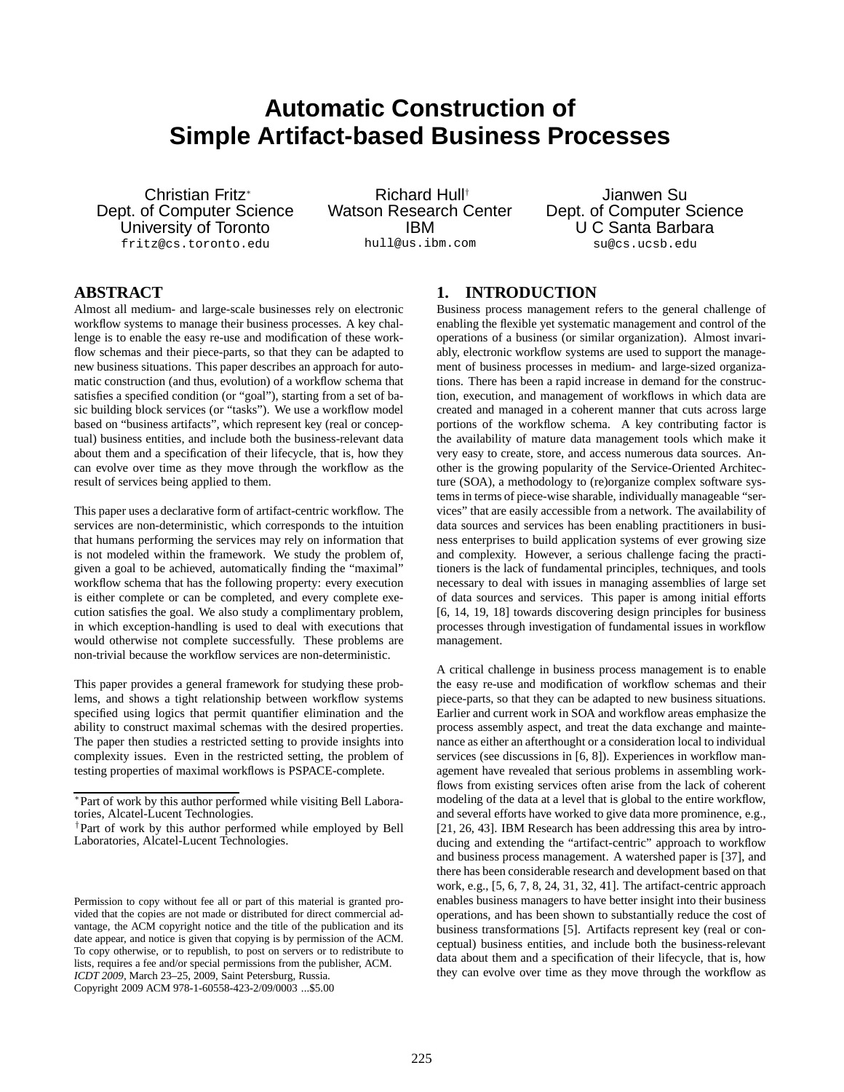# **Automatic Construction of Simple Artifact-based Business Processes**

Christian Fritz<sup>∗</sup> Dept. of Computer Science University of Toronto fritz@cs.toronto.edu

Richard Hull† Watson Research Center IBM hull@us.ibm.com

Jianwen Su Dept. of Computer Science U C Santa Barbara su@cs.ucsb.edu

### **ABSTRACT**

Almost all medium- and large-scale businesses rely on electronic workflow systems to manage their business processes. A key challenge is to enable the easy re-use and modification of these workflow schemas and their piece-parts, so that they can be adapted to new business situations. This paper describes an approach for automatic construction (and thus, evolution) of a workflow schema that satisfies a specified condition (or "goal"), starting from a set of basic building block services (or "tasks"). We use a workflow model based on "business artifacts", which represent key (real or conceptual) business entities, and include both the business-relevant data about them and a specification of their lifecycle, that is, how they can evolve over time as they move through the workflow as the result of services being applied to them.

This paper uses a declarative form of artifact-centric workflow. The services are non-deterministic, which corresponds to the intuition that humans performing the services may rely on information that is not modeled within the framework. We study the problem of, given a goal to be achieved, automatically finding the "maximal" workflow schema that has the following property: every execution is either complete or can be completed, and every complete execution satisfies the goal. We also study a complimentary problem, in which exception-handling is used to deal with executions that would otherwise not complete successfully. These problems are non-trivial because the workflow services are non-deterministic.

This paper provides a general framework for studying these problems, and shows a tight relationship between workflow systems specified using logics that permit quantifier elimination and the ability to construct maximal schemas with the desired properties. The paper then studies a restricted setting to provide insights into complexity issues. Even in the restricted setting, the problem of testing properties of maximal workflows is PSPACE-complete.

## **1. INTRODUCTION**

Business process management refers to the general challenge of enabling the flexible yet systematic management and control of the operations of a business (or similar organization). Almost invariably, electronic workflow systems are used to support the management of business processes in medium- and large-sized organizations. There has been a rapid increase in demand for the construction, execution, and management of workflows in which data are created and managed in a coherent manner that cuts across large portions of the workflow schema. A key contributing factor is the availability of mature data management tools which make it very easy to create, store, and access numerous data sources. Another is the growing popularity of the Service-Oriented Architecture (SOA), a methodology to (re)organize complex software systems in terms of piece-wise sharable, individually manageable "services" that are easily accessible from a network. The availability of data sources and services has been enabling practitioners in business enterprises to build application systems of ever growing size and complexity. However, a serious challenge facing the practitioners is the lack of fundamental principles, techniques, and tools necessary to deal with issues in managing assemblies of large set of data sources and services. This paper is among initial efforts [6, 14, 19, 18] towards discovering design principles for business processes through investigation of fundamental issues in workflow management.

A critical challenge in business process management is to enable the easy re-use and modification of workflow schemas and their piece-parts, so that they can be adapted to new business situations. Earlier and current work in SOA and workflow areas emphasize the process assembly aspect, and treat the data exchange and maintenance as either an afterthought or a consideration local to individual services (see discussions in [6, 8]). Experiences in workflow management have revealed that serious problems in assembling workflows from existing services often arise from the lack of coherent modeling of the data at a level that is global to the entire workflow, and several efforts have worked to give data more prominence, e.g., [21, 26, 43]. IBM Research has been addressing this area by introducing and extending the "artifact-centric" approach to workflow and business process management. A watershed paper is [37], and there has been considerable research and development based on that work, e.g., [5, 6, 7, 8, 24, 31, 32, 41]. The artifact-centric approach enables business managers to have better insight into their business operations, and has been shown to substantially reduce the cost of business transformations [5]. Artifacts represent key (real or conceptual) business entities, and include both the business-relevant data about them and a specification of their lifecycle, that is, how they can evolve over time as they move through the workflow as

<sup>∗</sup> Part of work by this author performed while visiting Bell Laboratories, Alcatel-Lucent Technologies.

<sup>†</sup> Part of work by this author performed while employed by Bell Laboratories, Alcatel-Lucent Technologies.

Permission to copy without fee all or part of this material is granted provided that the copies are not made or distributed for direct commercial advantage, the ACM copyright notice and the title of the publication and its date appear, and notice is given that copying is by permission of the ACM. To copy otherwise, or to republish, to post on servers or to redistribute to lists, requires a fee and/or special permissions from the publisher, ACM. *ICDT 2009*, March 23–25, 2009, Saint Petersburg, Russia. Copyright 2009 ACM 978-1-60558-423-2/09/0003 ...\$5.00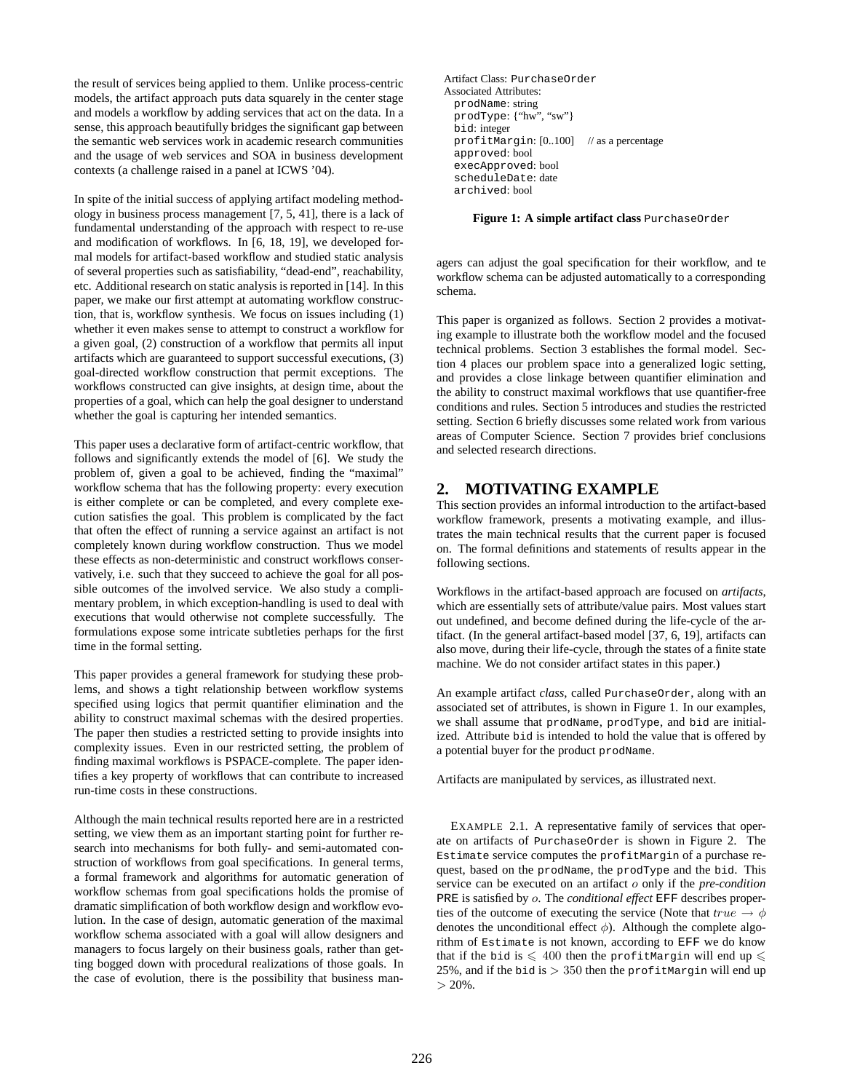the result of services being applied to them. Unlike process-centric models, the artifact approach puts data squarely in the center stage and models a workflow by adding services that act on the data. In a sense, this approach beautifully bridges the significant gap between the semantic web services work in academic research communities and the usage of web services and SOA in business development contexts (a challenge raised in a panel at ICWS '04).

In spite of the initial success of applying artifact modeling methodology in business process management [7, 5, 41], there is a lack of fundamental understanding of the approach with respect to re-use and modification of workflows. In [6, 18, 19], we developed formal models for artifact-based workflow and studied static analysis of several properties such as satisfiability, "dead-end", reachability, etc. Additional research on static analysis is reported in [14]. In this paper, we make our first attempt at automating workflow construction, that is, workflow synthesis. We focus on issues including (1) whether it even makes sense to attempt to construct a workflow for a given goal, (2) construction of a workflow that permits all input artifacts which are guaranteed to support successful executions, (3) goal-directed workflow construction that permit exceptions. The workflows constructed can give insights, at design time, about the properties of a goal, which can help the goal designer to understand whether the goal is capturing her intended semantics.

This paper uses a declarative form of artifact-centric workflow, that follows and significantly extends the model of [6]. We study the problem of, given a goal to be achieved, finding the "maximal" workflow schema that has the following property: every execution is either complete or can be completed, and every complete execution satisfies the goal. This problem is complicated by the fact that often the effect of running a service against an artifact is not completely known during workflow construction. Thus we model these effects as non-deterministic and construct workflows conservatively, i.e. such that they succeed to achieve the goal for all possible outcomes of the involved service. We also study a complimentary problem, in which exception-handling is used to deal with executions that would otherwise not complete successfully. The formulations expose some intricate subtleties perhaps for the first time in the formal setting.

This paper provides a general framework for studying these problems, and shows a tight relationship between workflow systems specified using logics that permit quantifier elimination and the ability to construct maximal schemas with the desired properties. The paper then studies a restricted setting to provide insights into complexity issues. Even in our restricted setting, the problem of finding maximal workflows is PSPACE-complete. The paper identifies a key property of workflows that can contribute to increased run-time costs in these constructions.

Although the main technical results reported here are in a restricted setting, we view them as an important starting point for further research into mechanisms for both fully- and semi-automated construction of workflows from goal specifications. In general terms, a formal framework and algorithms for automatic generation of workflow schemas from goal specifications holds the promise of dramatic simplification of both workflow design and workflow evolution. In the case of design, automatic generation of the maximal workflow schema associated with a goal will allow designers and managers to focus largely on their business goals, rather than getting bogged down with procedural realizations of those goals. In the case of evolution, there is the possibility that business manArtifact Class: PurchaseOrder Associated Attributes: prodName: string prodType: {"hw", "sw"} bid: integer profitMargin: [0..100] // as a percentage approved: bool execApproved: bool scheduleDate: date archived: bool

**Figure 1: A simple artifact class** PurchaseOrder

agers can adjust the goal specification for their workflow, and te workflow schema can be adjusted automatically to a corresponding schema.

This paper is organized as follows. Section 2 provides a motivating example to illustrate both the workflow model and the focused technical problems. Section 3 establishes the formal model. Section 4 places our problem space into a generalized logic setting, and provides a close linkage between quantifier elimination and the ability to construct maximal workflows that use quantifier-free conditions and rules. Section 5 introduces and studies the restricted setting. Section 6 briefly discusses some related work from various areas of Computer Science. Section 7 provides brief conclusions and selected research directions.

### **2. MOTIVATING EXAMPLE**

This section provides an informal introduction to the artifact-based workflow framework, presents a motivating example, and illustrates the main technical results that the current paper is focused on. The formal definitions and statements of results appear in the following sections.

Workflows in the artifact-based approach are focused on *artifacts*, which are essentially sets of attribute/value pairs. Most values start out undefined, and become defined during the life-cycle of the artifact. (In the general artifact-based model [37, 6, 19], artifacts can also move, during their life-cycle, through the states of a finite state machine. We do not consider artifact states in this paper.)

An example artifact *class*, called PurchaseOrder, along with an associated set of attributes, is shown in Figure 1. In our examples, we shall assume that prodName, prodType, and bid are initialized. Attribute bid is intended to hold the value that is offered by a potential buyer for the product prodName.

Artifacts are manipulated by services, as illustrated next.

EXAMPLE 2.1. A representative family of services that operate on artifacts of PurchaseOrder is shown in Figure 2. The Estimate service computes the profitMargin of a purchase request, based on the prodName, the prodType and the bid. This service can be executed on an artifact o only if the *pre-condition* PRE is satisfied by o. The *conditional effect* EFF describes properties of the outcome of executing the service (Note that  $true \rightarrow \phi$ denotes the unconditional effect  $\phi$ ). Although the complete algorithm of Estimate is not known, according to EFF we do know that if the bid is  $\leqslant 400$  then the profitMargin will end up  $\leqslant$ 25%, and if the bid is  $> 350$  then the profitMargin will end up  $> 20\%$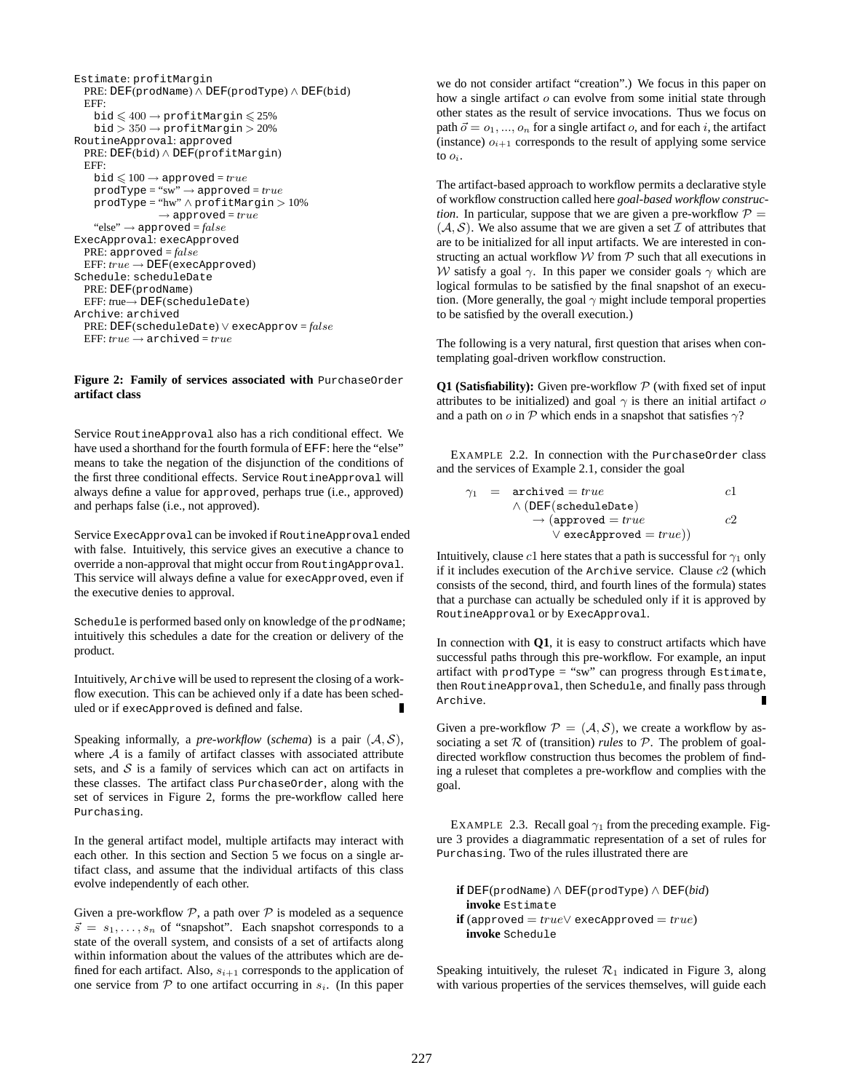```
Estimate: profitMargin
 PRE: DEF(prodName) ∧ DEF(prodType) ∧ DEF(bid)
 EFF:
   bid \leqslant 400 \rightarrow profitMargin \leqslant 25\%bid > 350 \rightarrow profitMargin > 20\%RoutineApproval: approved
 PRE: DEF(bid) ∧ DEF(profitMargin)
 EFF:
   bid \leqslant 100 \rightarrow {\rm approved} = trueprodType = "sw" → approved = true
    prodType = "hw" ∧ profitMargin > 10%
                \rightarrow approved = true
   "else" → approved = false
ExecApproval: execApproved
  PRE: approved = false
  EFF: true → DEF(execApproved)
Schedule: scheduleDate
 PRE: DEF(prodName)
  EFF: true→ DEF(scheduleDate)
Archive: archived
  PRE: DEF(scheduleDate) ∨ execApprov = false
 EFF: true \rightarrow archived = true
```
#### **Figure 2: Family of services associated with** PurchaseOrder **artifact class**

Service RoutineApproval also has a rich conditional effect. We have used a shorthand for the fourth formula of EFF: here the "else" means to take the negation of the disjunction of the conditions of the first three conditional effects. Service RoutineApproval will always define a value for approved, perhaps true (i.e., approved) and perhaps false (i.e., not approved).

Service ExecApproval can be invoked if RoutineApproval ended with false. Intuitively, this service gives an executive a chance to override a non-approval that might occur from RoutingApproval. This service will always define a value for execApproved, even if the executive denies to approval.

Schedule is performed based only on knowledge of the prodName; intuitively this schedules a date for the creation or delivery of the product.

Intuitively, Archive will be used to represent the closing of a workflow execution. This can be achieved only if a date has been scheduled or if execApproved is defined and false.

Speaking informally, a *pre-workflow* (*schema*) is a pair  $(A, S)$ , where  $A$  is a family of artifact classes with associated attribute sets, and  $S$  is a family of services which can act on artifacts in these classes. The artifact class PurchaseOrder, along with the set of services in Figure 2, forms the pre-workflow called here Purchasing.

In the general artifact model, multiple artifacts may interact with each other. In this section and Section 5 we focus on a single artifact class, and assume that the individual artifacts of this class evolve independently of each other.

Given a pre-workflow  $P$ , a path over  $P$  is modeled as a sequence  $\vec{s} = s_1, \ldots, s_n$  of "snapshot". Each snapshot corresponds to a state of the overall system, and consists of a set of artifacts along within information about the values of the attributes which are defined for each artifact. Also,  $s_{i+1}$  corresponds to the application of one service from  $P$  to one artifact occurring in  $s_i$ . (In this paper we do not consider artifact "creation".) We focus in this paper on how a single artifact o can evolve from some initial state through other states as the result of service invocations. Thus we focus on path  $\vec{o} = o_1, ..., o_n$  for a single artifact o, and for each i, the artifact (instance)  $o_{i+1}$  corresponds to the result of applying some service to  $o_i$ .

The artifact-based approach to workflow permits a declarative style of workflow construction called here *goal-based workflow construction*. In particular, suppose that we are given a pre-workflow  $P =$  $(A, S)$ . We also assume that we are given a set  $I$  of attributes that are to be initialized for all input artifacts. We are interested in constructing an actual workflow  $W$  from  $P$  such that all executions in W satisfy a goal  $\gamma$ . In this paper we consider goals  $\gamma$  which are logical formulas to be satisfied by the final snapshot of an execution. (More generally, the goal  $\gamma$  might include temporal properties to be satisfied by the overall execution.)

The following is a very natural, first question that arises when contemplating goal-driven workflow construction.

**Q1 (Satisfiability):** Given pre-workflow  $P$  (with fixed set of input attributes to be initialized) and goal  $\gamma$  is there an initial artifact o and a path on  $\alpha$  in  $\mathcal P$  which ends in a snapshot that satisfies  $\gamma$ ?

EXAMPLE 2.2. In connection with the PurchaseOrder class and the services of Example 2.1, consider the goal

$$
\begin{array}{rcl}\n\gamma_1 & = & \texttt{archived} = \textit{true} & c1 \\
\land (\texttt{DEF}(\texttt{scheduleDate}) & & \\
\rightarrow (\texttt{approved} = \textit{true} & c2 \\
& \lor \texttt{execApproved} = \textit{true}))\n\end{array}
$$

Intuitively, clause c1 here states that a path is successful for  $\gamma_1$  only if it includes execution of the Archive service. Clause  $c2$  (which consists of the second, third, and fourth lines of the formula) states that a purchase can actually be scheduled only if it is approved by RoutineApproval or by ExecApproval.

In connection with **Q1**, it is easy to construct artifacts which have successful paths through this pre-workflow. For example, an input artifact with prodType = "sw" can progress through Estimate, then RoutineApproval, then Schedule, and finally pass through Archive. П

Given a pre-workflow  $P = (A, S)$ , we create a workflow by associating a set  $R$  of (transition) *rules* to  $P$ . The problem of goaldirected workflow construction thus becomes the problem of finding a ruleset that completes a pre-workflow and complies with the goal.

EXAMPLE 2.3. Recall goal  $\gamma_1$  from the preceding example. Figure 3 provides a diagrammatic representation of a set of rules for Purchasing. Two of the rules illustrated there are

```
if DEF(prodName) ∧ DEF(prodType) ∧ DEF(bid)
 invoke Estimate
if (approved = true∨ execApproved = true)
 invoke Schedule
```
Speaking intuitively, the ruleset  $\mathcal{R}_1$  indicated in Figure 3, along with various properties of the services themselves, will guide each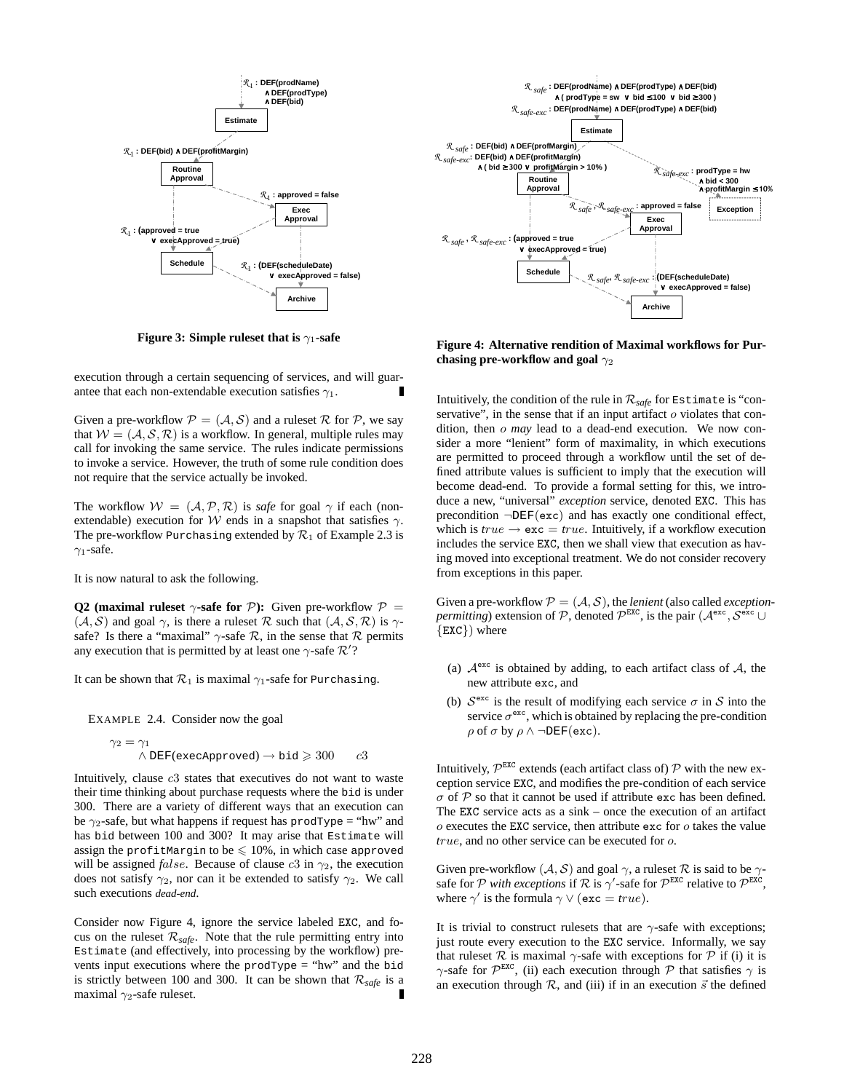

**Figure 3: Simple ruleset that is**  $\gamma_1$ **-safe** 

execution through a certain sequencing of services, and will guarantee that each non-extendable execution satisfies  $\gamma_1$ .

Given a pre-workflow  $P = (A, S)$  and a ruleset R for P, we say that  $W = (A, S, R)$  is a workflow. In general, multiple rules may call for invoking the same service. The rules indicate permissions to invoke a service. However, the truth of some rule condition does not require that the service actually be invoked.

The workflow  $W = (A, P, R)$  is *safe* for goal  $\gamma$  if each (nonextendable) execution for W ends in a snapshot that satisfies  $\gamma$ . The pre-workflow Purchasing extended by  $\mathcal{R}_1$  of Example 2.3 is  $\gamma_1$ -safe.

It is now natural to ask the following.

**Q2** (maximal ruleset  $\gamma$ -safe for  $\mathcal{P}$ ): Given pre-workflow  $\mathcal{P}$  =  $(A, S)$  and goal  $\gamma$ , is there a ruleset R such that  $(A, S, R)$  is  $\gamma$ safe? Is there a "maximal"  $\gamma$ -safe  $\mathcal{R}$ , in the sense that  $\mathcal{R}$  permits any execution that is permitted by at least one  $\gamma$ -safe  $\mathcal{R}'$ ?

It can be shown that  $\mathcal{R}_1$  is maximal  $\gamma_1$ -safe for Purchasing.

EXAMPLE 2.4. Consider now the goal

$$
\gamma_2 = \gamma_1
$$
  
  $\land$  DEF(execApproved)  $\rightarrow$  bid  $\geq 300$  c3

Intuitively, clause c3 states that executives do not want to waste their time thinking about purchase requests where the bid is under 300. There are a variety of different ways that an execution can be  $\gamma_2$ -safe, but what happens if request has prodType = "hw" and has bid between 100 and 300? It may arise that Estimate will assign the profitMargin to be  $\leqslant$  10%, in which case approved will be assigned *false*. Because of clause  $c3$  in  $\gamma_2$ , the execution does not satisfy  $\gamma_2$ , nor can it be extended to satisfy  $\gamma_2$ . We call such executions *dead-end*.

Consider now Figure 4, ignore the service labeled EXC, and focus on the ruleset  $\mathcal{R}_{\text{safe}}$ . Note that the rule permitting entry into Estimate (and effectively, into processing by the workflow) prevents input executions where the prodType = "hw" and the bid is strictly between 100 and 300. It can be shown that  $\mathcal{R}_{\text{safe}}$  is a maximal  $\gamma_2$ -safe ruleset.



**Figure 4: Alternative rendition of Maximal workflows for Purchasing pre-workflow and goal**  $γ<sub>2</sub>$ 

Intuitively, the condition of the rule in  $\mathcal{R}_{\text{safe}}$  for Estimate is "conservative", in the sense that if an input artifact  $o$  violates that condition, then o *may* lead to a dead-end execution. We now consider a more "lenient" form of maximality, in which executions are permitted to proceed through a workflow until the set of defined attribute values is sufficient to imply that the execution will become dead-end. To provide a formal setting for this, we introduce a new, "universal" *exception* service, denoted EXC. This has precondition ¬DEF(exc) and has exactly one conditional effect, which is  $true \rightarrow \text{exc} = true$ . Intuitively, if a workflow execution includes the service EXC, then we shall view that execution as having moved into exceptional treatment. We do not consider recovery from exceptions in this paper.

Given a pre-workflow  $P = (A, S)$ , the *lenient* (also called *exceptionpermitting*) extension of P, denoted  $\mathcal{P}^{\text{EXC}}$ , is the pair  $(\mathcal{A}^{\text{exc}}, \mathcal{S}^{\text{exc}})$ {EXC}) where

- (a)  $A^{\text{exc}}$  is obtained by adding, to each artifact class of A, the new attribute exc, and
- (b)  $S^{\text{exc}}$  is the result of modifying each service  $\sigma$  in S into the service  $\sigma^{\text{exc}}$ , which is obtained by replacing the pre-condition  $\rho$  of  $\sigma$  by  $\rho \wedge \neg$ DEF(exc).

Intuitively,  $\mathcal{P}^{\text{EXC}}$  extends (each artifact class of)  $\mathcal P$  with the new exception service EXC, and modifies the pre-condition of each service  $\sigma$  of  $P$  so that it cannot be used if attribute exc has been defined. The EXC service acts as a sink – once the execution of an artifact  $\sigma$  executes the EXC service, then attribute exc for  $\sigma$  takes the value *true*, and no other service can be executed for o.

Given pre-workflow  $(A, S)$  and goal  $\gamma$ , a ruleset  $\mathcal R$  is said to be  $\gamma$ safe for P with exceptions if R is  $\gamma'$ -safe for  $\mathcal{P}^{EXC}$  relative to  $\mathcal{P}^{EXC}$ , where  $\gamma'$  is the formula  $\gamma \vee (\textbf{exc} = true)$ .

It is trivial to construct rulesets that are  $\gamma$ -safe with exceptions; just route every execution to the EXC service. Informally, we say that ruleset  $\mathcal R$  is maximal  $\gamma$ -safe with exceptions for  $\mathcal P$  if (i) it is  $\gamma$ -safe for  $\mathcal{P}^{\text{EXC}}$ , (ii) each execution through  $\mathcal P$  that satisfies  $\gamma$  is an execution through  $R$ , and (iii) if in an execution  $\vec{s}$  the defined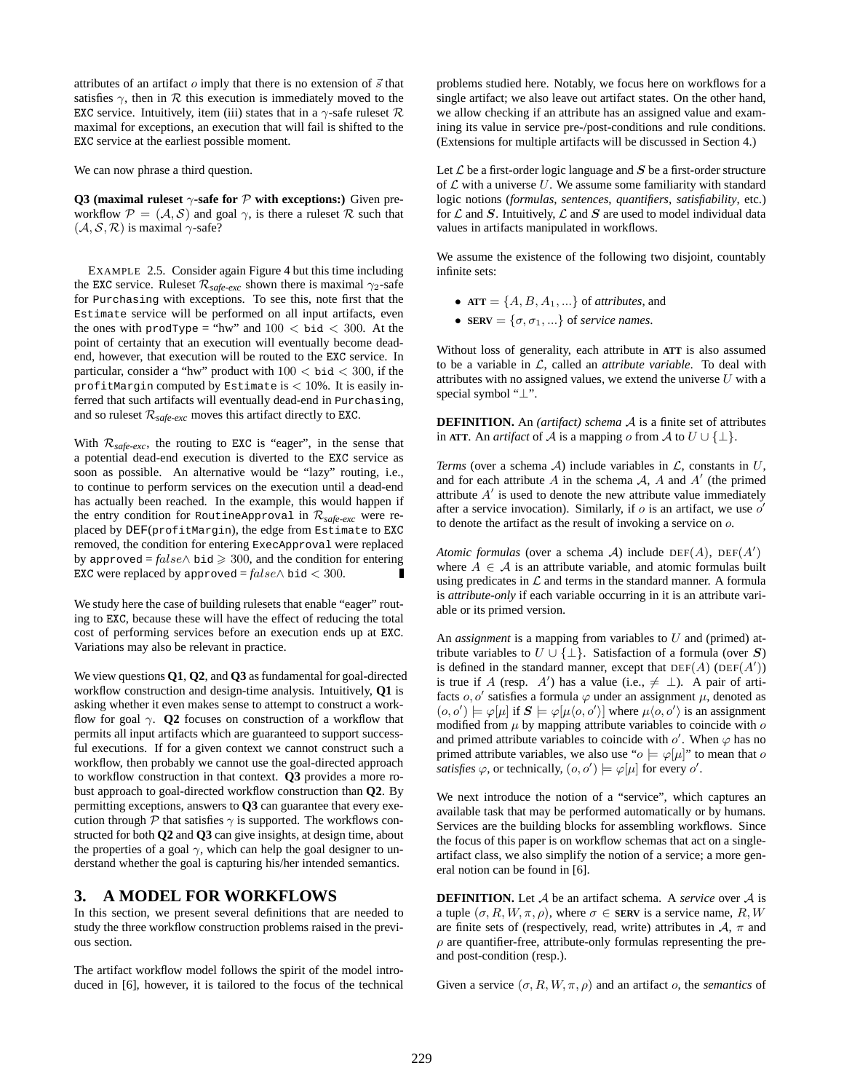attributes of an artifact  $\sigma$  imply that there is no extension of  $\vec{s}$  that satisfies  $\gamma$ , then in R this execution is immediately moved to the EXC service. Intuitively, item (iii) states that in a  $\gamma$ -safe ruleset  $\mathcal R$ maximal for exceptions, an execution that will fail is shifted to the EXC service at the earliest possible moment.

We can now phrase a third question.

**Q3** (maximal ruleset  $\gamma$ -safe for  $\mathcal{P}$  with exceptions:) Given preworkflow  $\mathcal{P} = (\mathcal{A}, \mathcal{S})$  and goal  $\gamma$ , is there a ruleset  $\mathcal{R}$  such that  $(A, S, R)$  is maximal  $\gamma$ -safe?

EXAMPLE 2.5. Consider again Figure 4 but this time including the EXC service. Ruleset  $\mathcal{R}_{\text{safe-exc}}$  shown there is maximal  $\gamma_2$ -safe for Purchasing with exceptions. To see this, note first that the Estimate service will be performed on all input artifacts, even the ones with prodType = "hw" and  $100 < \text{bid} < 300$ . At the point of certainty that an execution will eventually become deadend, however, that execution will be routed to the EXC service. In particular, consider a "hw" product with  $100 <$  bid  $< 300$ , if the profitMargin computed by Estimate is  $< 10\%$ . It is easily inferred that such artifacts will eventually dead-end in Purchasing, and so ruleset  $\mathcal{R}_{\text{safe-exc}}$  moves this artifact directly to EXC.

With  $\mathcal{R}_{\text{safe-exc}}$ , the routing to EXC is "eager", in the sense that a potential dead-end execution is diverted to the EXC service as soon as possible. An alternative would be "lazy" routing, i.e., to continue to perform services on the execution until a dead-end has actually been reached. In the example, this would happen if the entry condition for RoutineApproval in  $\mathcal{R}_{safe-exc}$  were replaced by DEF(profitMargin), the edge from Estimate to EXC removed, the condition for entering ExecApproval were replaced by approved =  $false \wedge$  bid  $\geq 300$ , and the condition for entering EXC were replaced by approved =  $false \wedge$  bid < 300.

We study here the case of building rulesets that enable "eager" routing to EXC, because these will have the effect of reducing the total cost of performing services before an execution ends up at EXC. Variations may also be relevant in practice.

We view questions **Q1**, **Q2**, and **Q3** as fundamental for goal-directed workflow construction and design-time analysis. Intuitively, **Q1** is asking whether it even makes sense to attempt to construct a workflow for goal  $\gamma$ . **Q2** focuses on construction of a workflow that permits all input artifacts which are guaranteed to support successful executions. If for a given context we cannot construct such a workflow, then probably we cannot use the goal-directed approach to workflow construction in that context. **Q3** provides a more robust approach to goal-directed workflow construction than **Q2**. By permitting exceptions, answers to **Q3** can guarantee that every execution through  $P$  that satisfies  $\gamma$  is supported. The workflows constructed for both **Q2** and **Q3** can give insights, at design time, about the properties of a goal  $\gamma$ , which can help the goal designer to understand whether the goal is capturing his/her intended semantics.

### **3. A MODEL FOR WORKFLOWS**

In this section, we present several definitions that are needed to study the three workflow construction problems raised in the previous section.

The artifact workflow model follows the spirit of the model introduced in [6], however, it is tailored to the focus of the technical problems studied here. Notably, we focus here on workflows for a single artifact; we also leave out artifact states. On the other hand, we allow checking if an attribute has an assigned value and examining its value in service pre-/post-conditions and rule conditions. (Extensions for multiple artifacts will be discussed in Section 4.)

Let  $\mathcal L$  be a first-order logic language and  $S$  be a first-order structure of  $\mathcal L$  with a universe U. We assume some familiarity with standard logic notions (*formulas*, *sentences*, *quantifiers*, *satisfiability*, etc.) for  $\mathcal L$  and  $S$ . Intuitively,  $\mathcal L$  and  $S$  are used to model individual data values in artifacts manipulated in workflows.

We assume the existence of the following two disjoint, countably infinite sets:

- $ATT = \{A, B, A_1, ...\}$  of *attributes*, and
- **SERV** =  $\{\sigma, \sigma_1, ...\}$  of *service names*.

Without loss of generality, each attribute in **ATT** is also assumed to be a variable in L, called an *attribute variable*. To deal with attributes with no assigned values, we extend the universe  $U$  with a special symbol "⊥".

**DEFINITION.** An *(artifact) schema* A is a finite set of attributes in **ATT**. An *artifact* of A is a mapping o from A to  $U \cup \{\perp\}$ .

*Terms* (over a schema  $\mathcal{A}$ ) include variables in  $\mathcal{L}$ , constants in  $U$ , and for each attribute  $A$  in the schema  $A$ ,  $A$  and  $A'$  (the primed attribute  $A'$  is used to denote the new attribute value immediately after a service invocation). Similarly, if  $o$  is an artifact, we use  $o'$ to denote the artifact as the result of invoking a service on o.

*Atomic formulas* (over a schema A) include  $DEF(A)$ ,  $DEF(A')$ where  $A \in \mathcal{A}$  is an attribute variable, and atomic formulas built using predicates in  $\mathcal L$  and terms in the standard manner. A formula is *attribute-only* if each variable occurring in it is an attribute variable or its primed version.

An *assignment* is a mapping from variables to U and (primed) attribute variables to  $U \cup \{\perp\}$ . Satisfaction of a formula (over S) is defined in the standard manner, except that  $DEF(A)$  (DEF(A')) is true if A (resp. A') has a value (i.e.,  $\neq \perp$ ). A pair of artifacts  $o, o'$  satisfies a formula  $\varphi$  under an assignment  $\mu$ , denoted as  $(o, o') \models \varphi[\mu]$  if  $S \models \varphi[\mu\langle o, o' \rangle]$  where  $\mu\langle o, o' \rangle$  is an assignment modified from  $\mu$  by mapping attribute variables to coincide with  $\sigma$ and primed attribute variables to coincide with  $o'$ . When  $\varphi$  has no primed attribute variables, we also use " $o \models \varphi[\mu]$ " to mean that  $o$ *satisfies*  $\varphi$ , or technically,  $(o, o') \models \varphi[\mu]$  for every  $o'$ .

We next introduce the notion of a "service", which captures an available task that may be performed automatically or by humans. Services are the building blocks for assembling workflows. Since the focus of this paper is on workflow schemas that act on a singleartifact class, we also simplify the notion of a service; a more general notion can be found in [6].

**DEFINITION.** Let A be an artifact schema. A *service* over A is a tuple  $(\sigma, R, W, \pi, \rho)$ , where  $\sigma \in$  **SERV** is a service name, R, W are finite sets of (respectively, read, write) attributes in  $A$ ,  $\pi$  and  $\rho$  are quantifier-free, attribute-only formulas representing the preand post-condition (resp.).

Given a service  $(\sigma, R, W, \pi, \rho)$  and an artifact o, the *semantics* of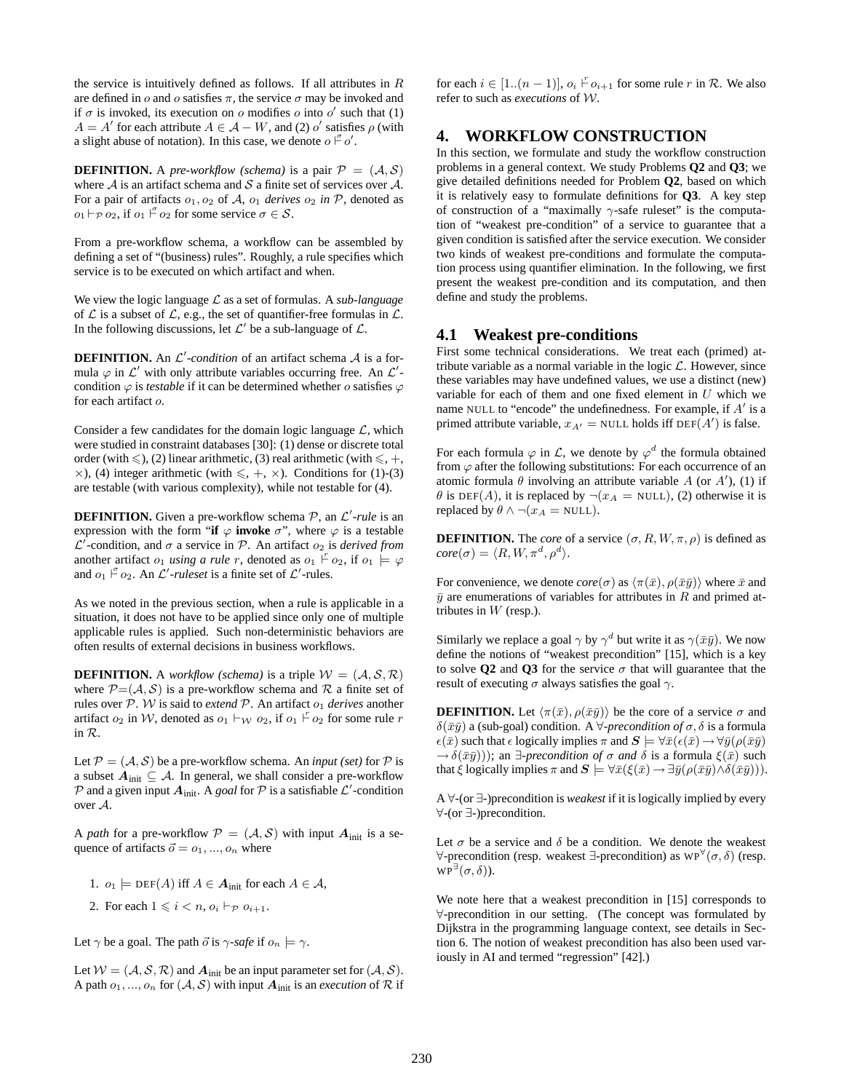the service is intuitively defined as follows. If all attributes in  $R$ are defined in o and o satisfies  $\pi$ , the service  $\sigma$  may be invoked and if  $\sigma$  is invoked, its execution on  $\sigma$  modifies  $\sigma$  into  $\sigma'$  such that (1)  $A = A'$  for each attribute  $A \in \mathcal{A} - W$ , and (2) o' satisfies  $\rho$  (with a slight abuse of notation). In this case, we denote  $o \n\mid o'$ .

**DEFINITION.** A *pre-workflow (schema)* is a pair  $P = (A, S)$ where  $A$  is an artifact schema and  $S$  a finite set of services over  $A$ . For a pair of artifacts  $o_1, o_2$  of A,  $o_1$  *derives*  $o_2$  *in* P, denoted as  $o_1 \vdash_{\mathcal{P}} o_2$ , if  $o_1 \vdash_{o_2}^{\sigma}$  for some service  $\sigma \in \mathcal{S}$ .

From a pre-workflow schema, a workflow can be assembled by defining a set of "(business) rules". Roughly, a rule specifies which service is to be executed on which artifact and when.

We view the logic language L as a set of formulas. A *sub-language* of  $\mathcal L$  is a subset of  $\mathcal L$ , e.g., the set of quantifier-free formulas in  $\mathcal L$ . In the following discussions, let  $\mathcal{L}'$  be a sub-language of  $\mathcal{L}$ .

**DEFINITION.** An  $\mathcal{L}'$ -condition of an artifact schema  $\mathcal{A}$  is a formula  $\varphi$  in  $\mathcal{L}'$  with only attribute variables occurring free. An  $\mathcal{L}'$ condition  $\varphi$  is *testable* if it can be determined whether o satisfies  $\varphi$ for each artifact o.

Consider a few candidates for the domain logic language  $\mathcal{L}$ , which were studied in constraint databases [30]: (1) dense or discrete total order (with  $\leq$ ), (2) linear arithmetic, (3) real arithmetic (with  $\leq$ , +,  $\times$ ), (4) integer arithmetic (with  $\leq$ ,  $+$ ,  $\times$ ). Conditions for (1)-(3) are testable (with various complexity), while not testable for (4).

**DEFINITION.** Given a pre-workflow schema P, an L'-rule is an expression with the form "**if**  $\varphi$  **invoke**  $\sigma$ ", where  $\varphi$  is a testable  $\mathcal{L}'$ -condition, and  $\sigma$  a service in  $\mathcal{P}$ . An artifact  $o_2$  is *derived from* another artifact  $o_1$  *using a rule r*, denoted as  $o_1 \nvdash o_2$ , if  $o_1 \models \varphi$ and  $o_1 \nightharpoonup o_2$ . An  $\mathcal{L}'$ -ruleset is a finite set of  $\mathcal{L}'$ -rules.

As we noted in the previous section, when a rule is applicable in a situation, it does not have to be applied since only one of multiple applicable rules is applied. Such non-deterministic behaviors are often results of external decisions in business workflows.

**DEFINITION.** A *workflow (schema)* is a triple  $W = (A, S, R)$ where  $P=(A, S)$  is a pre-workflow schema and R a finite set of rules over  $\mathcal{P}$ . W is said to *extend*  $\mathcal{P}$ . An artifact  $o_1$  *derives* another artifact  $o_2$  in W, denoted as  $o_1 \vdash_W o_2$ , if  $o_1 \vdash o_2$  for some rule r in R.

Let  $P = (A, S)$  be a pre-workflow schema. An *input (set)* for P is a subset  $A_{init} \subseteq A$ . In general, we shall consider a pre-workflow  $P$  and a given input  $A_{init}$ . A *goal* for  $P$  is a satisfiable  $\mathcal{L}'$ -condition over A.

A *path* for a pre-workflow  $P = (A, S)$  with input  $A_{init}$  is a sequence of artifacts  $\vec{o} = o_1, ..., o_n$  where

- 1.  $o_1 \models \text{DEF}(A)$  iff  $A \in \mathcal{A}_{init}$  for each  $A \in \mathcal{A}$ ,
- 2. For each  $1 \leq i \leq n$ ,  $o_i \vdash_{\mathcal{P}} o_{i+1}$ .

Let  $\gamma$  be a goal. The path  $\vec{o}$  is  $\gamma$ -safe if  $o_n \models \gamma$ .

Let  $W = (A, S, R)$  and  $A_{init}$  be an input parameter set for  $(A, S)$ . A path  $o_1, ..., o_n$  for  $(A, S)$  with input  $A_{init}$  is an *execution* of  $R$  if

for each  $i \in [1..(n-1)], o_i \rightharpoonup o_{i+1}$  for some rule r in R. We also refer to such as *executions* of W.

# **4. WORKFLOW CONSTRUCTION**

In this section, we formulate and study the workflow construction problems in a general context. We study Problems **Q2** and **Q3**; we give detailed definitions needed for Problem **Q2**, based on which it is relatively easy to formulate definitions for **Q3**. A key step of construction of a "maximally  $\gamma$ -safe ruleset" is the computation of "weakest pre-condition" of a service to guarantee that a given condition is satisfied after the service execution. We consider two kinds of weakest pre-conditions and formulate the computation process using quantifier elimination. In the following, we first present the weakest pre-condition and its computation, and then define and study the problems.

### **4.1 Weakest pre-conditions**

First some technical considerations. We treat each (primed) attribute variable as a normal variable in the logic  $\mathcal{L}$ . However, since these variables may have undefined values, we use a distinct (new) variable for each of them and one fixed element in  $U$  which we name NULL to "encode" the undefinedness. For example, if  $A'$  is a primed attribute variable,  $x_{A'}$  = NULL holds iff DEF( $A'$ ) is false.

For each formula  $\varphi$  in  $\mathcal{L}$ , we denote by  $\varphi^d$  the formula obtained from  $\varphi$  after the following substitutions: For each occurrence of an atomic formula  $\theta$  involving an attribute variable A (or A'), (1) if  $\theta$  is DEF(A), it is replaced by  $\neg(x_A = \text{NULL})$ , (2) otherwise it is replaced by  $\theta \wedge \neg (x_A = \text{NULL}).$ 

**DEFINITION.** The *core* of a service  $(\sigma, R, W, \pi, \rho)$  is defined as  $core(\sigma) = \langle R, W, \pi^d, \rho^d \rangle.$ 

For convenience, we denote  $core(\sigma)$  as  $\langle \pi(\bar{x}), \rho(\bar{x}\bar{y}) \rangle$  where  $\bar{x}$  and  $\bar{y}$  are enumerations of variables for attributes in R and primed attributes in  $W$  (resp.).

Similarly we replace a goal  $\gamma$  by  $\gamma^d$  but write it as  $\gamma(\bar{x}\bar{y})$ . We now define the notions of "weakest precondition" [15], which is a key to solve **Q2** and **Q3** for the service  $\sigma$  that will guarantee that the result of executing  $\sigma$  always satisfies the goal  $\gamma$ .

**DEFINITION.** Let  $\langle \pi(\bar{x}), \rho(\bar{x}\bar{y}) \rangle$  be the core of a service  $\sigma$  and  $δ(ōȳ)$  a (sub-goal) condition. A  $∀-precondition$  *of*  $σ$ ,  $δ$  is a formula  $\epsilon(\bar{x})$  such that  $\epsilon$  logically implies  $\pi$  and  $S \models \forall \bar{x}(\epsilon(\bar{x}) \rightarrow \forall \bar{y}(\rho(\bar{x}\bar{y}))$  $\rightarrow \delta(\bar{x}\bar{y}))$ ; an  $\exists$ -precondition of  $\sigma$  and  $\delta$  is a formula  $\xi(\bar{x})$  such that  $\xi$  logically implies  $\pi$  and  $\mathbf{S} \models \forall \bar{x}(\xi(\bar{x}) \rightarrow \exists \bar{y}(\rho(\bar{x}\bar{y}) \land \delta(\bar{x}\bar{y}))).$ 

A ∀-(or ∃-)precondition is *weakest* if it is logically implied by every ∀-(or ∃-)precondition.

Let  $\sigma$  be a service and  $\delta$  be a condition. We denote the weakest  $\forall$ -precondition (resp. weakest ∃-precondition) as  $WP^{\forall}(\sigma,\delta)$  (resp.  $WP^{\exists}(\sigma,\delta)).$ 

We note here that a weakest precondition in [15] corresponds to ∀-precondition in our setting. (The concept was formulated by Dijkstra in the programming language context, see details in Section 6. The notion of weakest precondition has also been used variously in AI and termed "regression" [42].)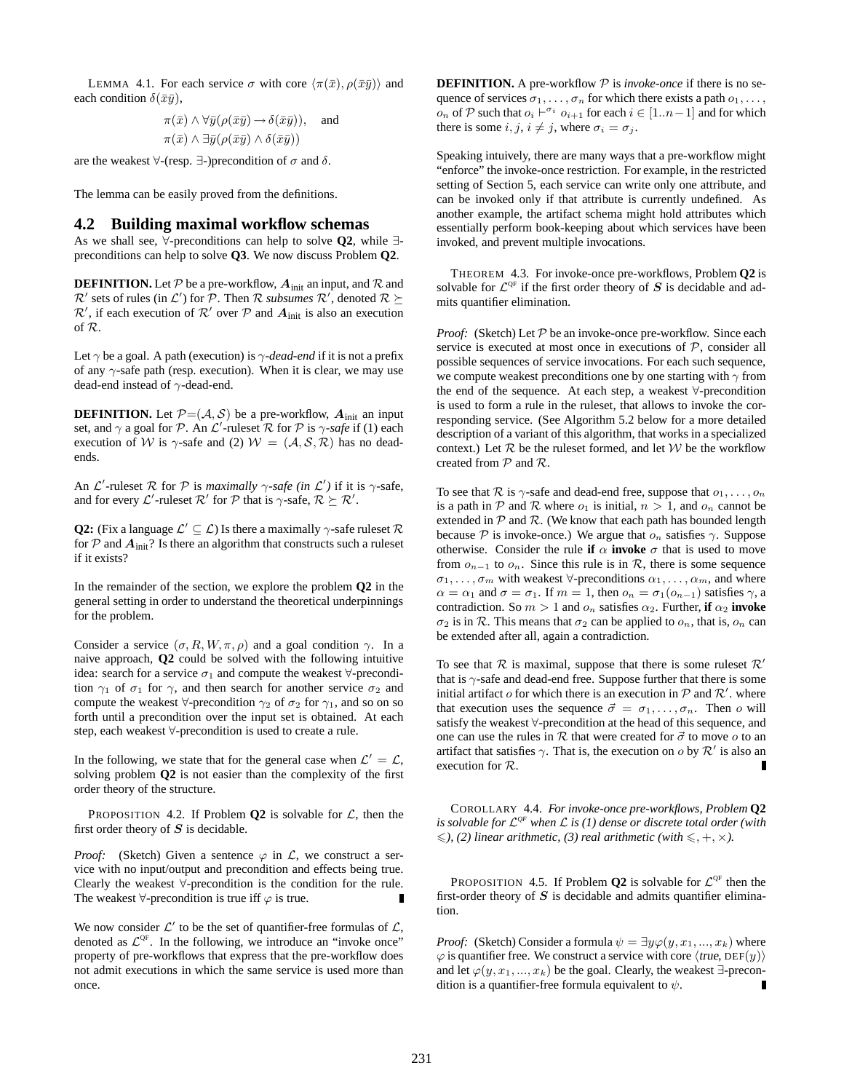LEMMA 4.1. For each service  $\sigma$  with core  $\langle \pi(\bar{x}), \rho(\bar{x}\bar{y}) \rangle$  and each condition  $\delta(\bar{x}\bar{y})$ ,

$$
\pi(\bar{x}) \wedge \forall \bar{y} (\rho(\bar{x}\bar{y}) \rightarrow \delta(\bar{x}\bar{y})), \text{ and}
$$
  

$$
\pi(\bar{x}) \wedge \exists \bar{y} (\rho(\bar{x}\bar{y}) \wedge \delta(\bar{x}\bar{y}))
$$

are the weakest  $\forall$ -(resp.  $\exists$ -)precondition of  $\sigma$  and  $\delta$ .

The lemma can be easily proved from the definitions.

#### **4.2 Building maximal workflow schemas**

As we shall see, ∀-preconditions can help to solve **Q2**, while ∃ preconditions can help to solve **Q3**. We now discuss Problem **Q2**.

**DEFINITION.** Let  $P$  be a pre-workflow,  $A_{init}$  an input, and  $R$  and  $\mathcal{R}'$  sets of rules (in  $\mathcal{L}'$ ) for  $\mathcal{P}$ . Then  $\mathcal{R}$  *subsumes*  $\mathcal{R}'$ , denoted  $\mathcal{R} \succeq$  $\mathcal{R}'$ , if each execution of  $\mathcal{R}'$  over  $\mathcal P$  and  $\mathbf{A}_{init}$  is also an execution of R.

Let  $\gamma$  be a goal. A path (execution) is  $\gamma$ -dead-end if it is not a prefix of any  $\gamma$ -safe path (resp. execution). When it is clear, we may use dead-end instead of  $\gamma$  -dead-end.

**DEFINITION.** Let  $P=(A, S)$  be a pre-workflow,  $A_{init}$  an input set, and  $\gamma$  a goal for P. An  $\mathcal{L}'$ -ruleset R for P is  $\gamma$ -safe if (1) each execution of W is  $\gamma$ -safe and (2)  $W = (A, S, R)$  has no deadends.

An  $\mathcal{L}'$ -ruleset  $\mathcal R$  for  $\mathcal P$  is *maximally*  $\gamma$ -safe (in  $\mathcal{L}'$ ) if it is  $\gamma$ -safe, and for every  $\mathcal{L}'$ -ruleset  $\mathcal{R}'$  for  $\mathcal{P}$  that is  $\gamma$ -safe,  $\mathcal{R} \succeq \mathcal{R}'$ .

**Q2:** (Fix a language  $\mathcal{L}' \subseteq \mathcal{L}$ ) Is there a maximally  $\gamma$ -safe ruleset  $\mathcal{R}$ for  $P$  and  $A_{init}$ ? Is there an algorithm that constructs such a ruleset if it exists?

In the remainder of the section, we explore the problem **Q2** in the general setting in order to understand the theoretical underpinnings for the problem.

Consider a service  $(\sigma, R, W, \pi, \rho)$  and a goal condition  $\gamma$ . In a naive approach, **Q2** could be solved with the following intuitive idea: search for a service  $\sigma_1$  and compute the weakest  $\forall$ -precondition  $\gamma_1$  of  $\sigma_1$  for  $\gamma$ , and then search for another service  $\sigma_2$  and compute the weakest  $\forall$ -precondition  $\gamma_2$  of  $\sigma_2$  for  $\gamma_1$ , and so on so forth until a precondition over the input set is obtained. At each step, each weakest ∀-precondition is used to create a rule.

In the following, we state that for the general case when  $\mathcal{L}' = \mathcal{L}$ , solving problem **Q2** is not easier than the complexity of the first order theory of the structure.

PROPOSITION 4.2. If Problem  $Q2$  is solvable for  $\mathcal{L}$ , then the first order theory of  $S$  is decidable.

*Proof:* (Sketch) Given a sentence  $\varphi$  in  $\mathcal{L}$ , we construct a service with no input/output and precondition and effects being true. Clearly the weakest ∀-precondition is the condition for the rule. The weakest  $\forall$ -precondition is true iff  $\varphi$  is true. Г

We now consider  $\mathcal{L}'$  to be the set of quantifier-free formulas of  $\mathcal{L}$ , denoted as  $\mathcal{L}^{\text{QF}}$ . In the following, we introduce an "invoke once" property of pre-workflows that express that the pre-workflow does not admit executions in which the same service is used more than once.

**DEFINITION.** A pre-workflow  $P$  is *invoke-once* if there is no sequence of services  $\sigma_1, \ldots, \sigma_n$  for which there exists a path  $o_1, \ldots,$ *on* of  $P$  such that  $o_i$  ⊢<sup> $\sigma_i$ </sup>  $o_{i+1}$  for each  $i \in [1..n-1]$  and for which there is some  $i, j, i \neq j$ , where  $\sigma_i = \sigma_j$ .

Speaking intuively, there are many ways that a pre-workflow might "enforce" the invoke-once restriction. For example, in the restricted setting of Section 5, each service can write only one attribute, and can be invoked only if that attribute is currently undefined. As another example, the artifact schema might hold attributes which essentially perform book-keeping about which services have been invoked, and prevent multiple invocations.

THEOREM 4.3. For invoke-once pre-workflows, Problem **Q2** is solvable for  $\mathcal{L}^{\mathrm{QF}}$  if the first order theory of  $S$  is decidable and admits quantifier elimination.

*Proof:* (Sketch) Let  $P$  be an invoke-once pre-workflow. Since each service is executed at most once in executions of  $P$ , consider all possible sequences of service invocations. For each such sequence, we compute weakest preconditions one by one starting with  $\gamma$  from the end of the sequence. At each step, a weakest ∀-precondition is used to form a rule in the ruleset, that allows to invoke the corresponding service. (See Algorithm 5.2 below for a more detailed description of a variant of this algorithm, that works in a specialized context.) Let  $R$  be the ruleset formed, and let  $W$  be the workflow created from  $P$  and  $R$ .

To see that  $\mathcal R$  is  $\gamma$ -safe and dead-end free, suppose that  $o_1, \ldots, o_n$ is a path in  $P$  and  $R$  where  $o_1$  is initial,  $n > 1$ , and  $o_n$  cannot be extended in  $P$  and  $R$ . (We know that each path has bounded length because P is invoke-once.) We argue that  $o_n$  satisfies  $\gamma$ . Suppose otherwise. Consider the rule **if**  $\alpha$  **invoke**  $\sigma$  that is used to move from  $o_{n-1}$  to  $o_n$ . Since this rule is in R, there is some sequence  $\sigma_1, \ldots, \sigma_m$  with weakest  $\forall$ -preconditions  $\alpha_1, \ldots, \alpha_m$ , and where  $\alpha = \alpha_1$  and  $\sigma = \sigma_1$ . If  $m = 1$ , then  $o_n = \sigma_1(o_{n-1})$  satisfies  $\gamma$ , a contradiction. So  $m > 1$  and  $o_n$  satisfies  $\alpha_2$ . Further, **if**  $\alpha_2$  **invoke**  $\sigma_2$  is in R. This means that  $\sigma_2$  can be applied to  $o_n$ , that is,  $o_n$  can be extended after all, again a contradiction.

To see that  $\mathcal R$  is maximal, suppose that there is some rules  $\mathcal R'$ that is  $\gamma$ -safe and dead-end free. Suppose further that there is some initial artifact  $o$  for which there is an execution in  $P$  and  $R'$ . where that execution uses the sequence  $\vec{\sigma} = \sigma_1, \ldots, \sigma_n$ . Then o will satisfy the weakest ∀-precondition at the head of this sequence, and one can use the rules in  $R$  that were created for  $\vec{\sigma}$  to move  $o$  to an artifact that satisfies  $\gamma$ . That is, the execution on  $o$  by  $\mathcal{R}'$  is also an execution for R.

COROLLARY 4.4. *For invoke-once pre-workflows, Problem* **Q2** *is solvable for* L *QF when* L *is (1) dense or discrete total order (with*  $\leq$ , (2) linear arithmetic, (3) real arithmetic (with  $\leq$ , +,  $\times$ ).

PROPOSITION 4.5. If Problem  $Q2$  is solvable for  $\mathcal{L}^{\text{QF}}$  then the first-order theory of  $S$  is decidable and admits quantifier elimination.

*Proof:* (Sketch) Consider a formula  $\psi = \exists y \varphi(y, x_1, ..., x_k)$  where  $\varphi$  is quantifier free. We construct a service with core  $\langle true, DEF(y) \rangle$ and let  $\varphi(y, x_1, ..., x_k)$  be the goal. Clearly, the weakest ∃-precondition is a quantifier-free formula equivalent to  $\psi$ .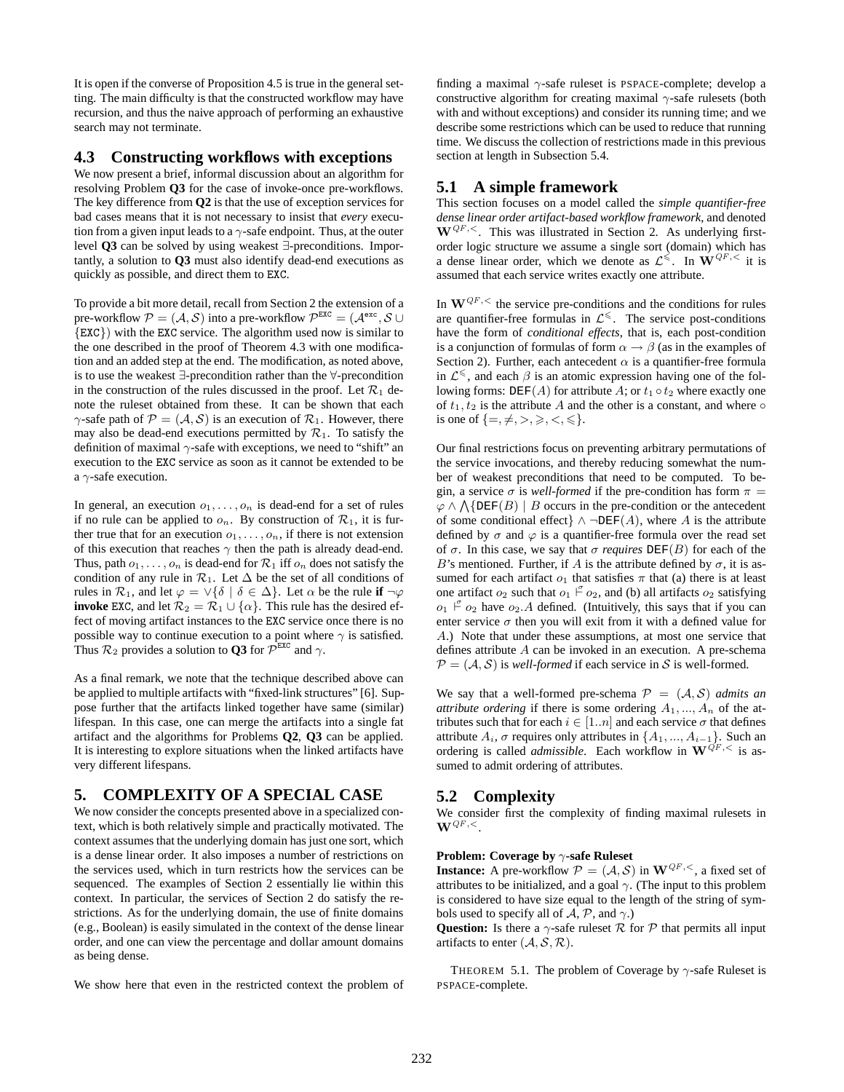It is open if the converse of Proposition 4.5 is true in the general setting. The main difficulty is that the constructed workflow may have recursion, and thus the naive approach of performing an exhaustive search may not terminate.

#### **4.3 Constructing workflows with exceptions**

We now present a brief, informal discussion about an algorithm for resolving Problem **Q3** for the case of invoke-once pre-workflows. The key difference from **Q2** is that the use of exception services for bad cases means that it is not necessary to insist that *every* execution from a given input leads to a  $\gamma$ -safe endpoint. Thus, at the outer level **Q3** can be solved by using weakest ∃-preconditions. Importantly, a solution to **Q3** must also identify dead-end executions as quickly as possible, and direct them to EXC.

To provide a bit more detail, recall from Section 2 the extension of a pre-workflow  $P = (A, S)$  into a pre-workflow  $P^{Exc} = (A^{exc}, S \cup$ {EXC}) with the EXC service. The algorithm used now is similar to the one described in the proof of Theorem 4.3 with one modification and an added step at the end. The modification, as noted above, is to use the weakest ∃-precondition rather than the ∀-precondition in the construction of the rules discussed in the proof. Let  $\mathcal{R}_1$  denote the ruleset obtained from these. It can be shown that each  $\gamma$ -safe path of  $\mathcal{P} = (\mathcal{A}, \mathcal{S})$  is an execution of  $\mathcal{R}_1$ . However, there may also be dead-end executions permitted by  $\mathcal{R}_1$ . To satisfy the definition of maximal  $\gamma$ -safe with exceptions, we need to "shift" an execution to the EXC service as soon as it cannot be extended to be a  $\gamma$ -safe execution.

In general, an execution  $o_1, \ldots, o_n$  is dead-end for a set of rules if no rule can be applied to  $o_n$ . By construction of  $\mathcal{R}_1$ , it is further true that for an execution  $o_1, \ldots, o_n$ , if there is not extension of this execution that reaches  $\gamma$  then the path is already dead-end. Thus, path  $o_1, \ldots, o_n$  is dead-end for  $\mathcal{R}_1$  iff  $o_n$  does not satisfy the condition of any rule in  $\mathcal{R}_1$ . Let  $\Delta$  be the set of all conditions of rules in  $\mathcal{R}_1$ , and let  $\varphi = \vee \{ \delta \mid \delta \in \Delta \}$ . Let  $\alpha$  be the rule if  $\neg \varphi$ **invoke** EXC, and let  $\mathcal{R}_2 = \mathcal{R}_1 \cup \{\alpha\}$ . This rule has the desired effect of moving artifact instances to the EXC service once there is no possible way to continue execution to a point where  $\gamma$  is satisfied. Thus  $\mathcal{R}_2$  provides a solution to **Q3** for  $\mathcal{P}^{\text{exc}}$  and  $\gamma$ .

As a final remark, we note that the technique described above can be applied to multiple artifacts with "fixed-link structures" [6]. Suppose further that the artifacts linked together have same (similar) lifespan. In this case, one can merge the artifacts into a single fat artifact and the algorithms for Problems **Q2**, **Q3** can be applied. It is interesting to explore situations when the linked artifacts have very different lifespans.

### **5. COMPLEXITY OF A SPECIAL CASE**

We now consider the concepts presented above in a specialized context, which is both relatively simple and practically motivated. The context assumes that the underlying domain has just one sort, which is a dense linear order. It also imposes a number of restrictions on the services used, which in turn restricts how the services can be sequenced. The examples of Section 2 essentially lie within this context. In particular, the services of Section 2 do satisfy the restrictions. As for the underlying domain, the use of finite domains (e.g., Boolean) is easily simulated in the context of the dense linear order, and one can view the percentage and dollar amount domains as being dense.

We show here that even in the restricted context the problem of

finding a maximal  $\gamma$ -safe ruleset is PSPACE-complete; develop a constructive algorithm for creating maximal  $\gamma$ -safe rulesets (both with and without exceptions) and consider its running time; and we describe some restrictions which can be used to reduce that running time. We discuss the collection of restrictions made in this previous section at length in Subsection 5.4.

### **5.1 A simple framework**

This section focuses on a model called the *simple quantifier-free dense linear order artifact-based workflow framework*, and denoted  $W^{QF,<}$ . This was illustrated in Section 2. As underlying firstorder logic structure we assume a single sort (domain) which has a dense linear order, which we denote as  $\mathcal{L}^{\leq}$ . In  $\mathbf{W}^{QF,<}$  it is assumed that each service writes exactly one attribute.

In  $\mathbf{W}^{QF,<}$  the service pre-conditions and the conditions for rules are quantifier-free formulas in  $\mathcal{L}^{\leq}$ . The service post-conditions have the form of *conditional effects*, that is, each post-condition is a conjunction of formulas of form  $\alpha \rightarrow \beta$  (as in the examples of Section 2). Further, each antecedent  $\alpha$  is a quantifier-free formula in  $\mathcal{L}^{\leq}$ , and each  $\beta$  is an atomic expression having one of the following forms:  $DEF(A)$  for attribute A; or  $t_1 \circ t_2$  where exactly one of  $t_1, t_2$  is the attribute A and the other is a constant, and where  $\circ$ is one of  $\{=\neq, >, \geq, <, \leq\}.$ 

Our final restrictions focus on preventing arbitrary permutations of the service invocations, and thereby reducing somewhat the number of weakest preconditions that need to be computed. To begin, a service  $\sigma$  is *well-formed* if the pre-condition has form  $\pi$  =  $\varphi \wedge \bigwedge$ {DEF(B) | B occurs in the pre-condition or the antecedent of some conditional effect}  $\land \neg DEF(A)$ , where A is the attribute defined by  $\sigma$  and  $\varphi$  is a quantifier-free formula over the read set of  $\sigma$ . In this case, we say that  $\sigma$  *requires*  $DEF(B)$  for each of the B's mentioned. Further, if A is the attribute defined by  $\sigma$ , it is assumed for each artifact  $o_1$  that satisfies  $\pi$  that (a) there is at least one artifact  $o_2$  such that  $o_1 \nightharpoonup o_2$ , and (b) all artifacts  $o_2$  satisfying  $o_1$   $\stackrel{\sigma}{\vdash} o_2$  have  $o_2$ . A defined. (Intuitively, this says that if you can enter service  $\sigma$  then you will exit from it with a defined value for A.) Note that under these assumptions, at most one service that defines attribute A can be invoked in an execution. A pre-schema  $P = (A, S)$  is *well-formed* if each service in S is well-formed.

We say that a well-formed pre-schema  $P = (A, S)$  *admits an attribute ordering* if there is some ordering  $A_1, ..., A_n$  of the attributes such that for each  $i \in [1..n]$  and each service  $\sigma$  that defines attribute  $A_i$ ,  $\sigma$  requires only attributes in  $\{A_1, ..., A_{i-1}\}$ . Such an ordering is called *admissible*. Each workflow in  $\mathbf{W}^{\tilde{Q}F,<}$  is assumed to admit ordering of attributes.

### **5.2 Complexity**

We consider first the complexity of finding maximal rulesets in  $\mathbf{W}^{QF,<}$ .

#### **Problem: Coverage by** γ**-safe Ruleset**

**Instance:** A pre-workflow  $P = (A, S)$  in  $W^{QF,<}$ , a fixed set of attributes to be initialized, and a goal  $\gamma$ . (The input to this problem is considered to have size equal to the length of the string of symbols used to specify all of  $A$ ,  $P$ , and  $\gamma$ .)

**Question:** Is there a  $\gamma$ -safe ruleset  $\mathcal R$  for  $\mathcal P$  that permits all input artifacts to enter  $(A, S, R)$ .

THEOREM 5.1. The problem of Coverage by  $\gamma$ -safe Ruleset is PSPACE-complete.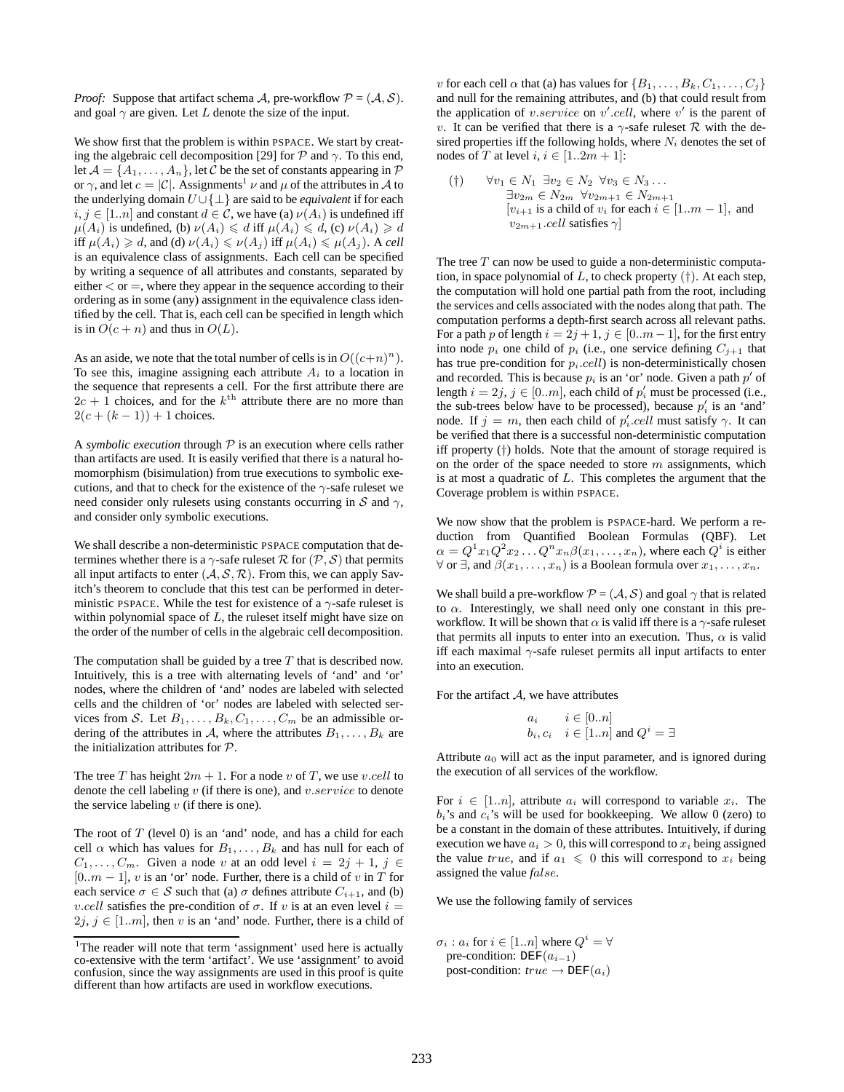*Proof:* Suppose that artifact schema A, pre-workflow  $P = (A, S)$ . and goal  $\gamma$  are given. Let L denote the size of the input.

We show first that the problem is within PSPACE. We start by creating the algebraic cell decomposition [29] for  $P$  and  $\gamma$ . To this end, let  $A = \{A_1, \ldots, A_n\}$ , let C be the set of constants appearing in P or  $\gamma$ , and let  $c = |\mathcal{C}|$ . Assignments<sup>1</sup>  $\nu$  and  $\mu$  of the attributes in A to the underlying domain U ∪{⊥} are said to be *equivalent* if for each  $i, j \in [1..n]$  and constant  $d \in \mathcal{C}$ , we have (a)  $\nu(A_i)$  is undefined iff  $\mu(A_i)$  is undefined, (b)  $\nu(A_i) \le d$  iff  $\mu(A_i) \le d$ , (c)  $\nu(A_i) \ge d$ iff  $\mu(A_i) \geq d$ , and (d)  $\nu(A_i) \leq \nu(A_j)$  iff  $\mu(A_i) \leq \mu(A_j)$ . A cell is an equivalence class of assignments. Each cell can be specified by writing a sequence of all attributes and constants, separated by either  $\lt$  or  $=$ , where they appear in the sequence according to their ordering as in some (any) assignment in the equivalence class identified by the cell. That is, each cell can be specified in length which is in  $O(c + n)$  and thus in  $O(L)$ .

As an aside, we note that the total number of cells is in  $O((c+n)^n)$ . To see this, imagine assigning each attribute  $A_i$  to a location in the sequence that represents a cell. For the first attribute there are  $2c + 1$  choices, and for the  $k^{\text{th}}$  attribute there are no more than  $2(c + (k-1)) + 1$  choices.

A *symbolic execution* through  $P$  is an execution where cells rather than artifacts are used. It is easily verified that there is a natural homomorphism (bisimulation) from true executions to symbolic executions, and that to check for the existence of the  $\gamma$ -safe ruleset we need consider only rulesets using constants occurring in  $S$  and  $\gamma$ , and consider only symbolic executions.

We shall describe a non-deterministic PSPACE computation that determines whether there is a  $\gamma$ -safe ruleset R for  $(\mathcal{P}, \mathcal{S})$  that permits all input artifacts to enter  $(A, S, R)$ . From this, we can apply Savitch's theorem to conclude that this test can be performed in deterministic PSPACE. While the test for existence of a  $\gamma$ -safe ruleset is within polynomial space of  $L$ , the ruleset itself might have size on the order of the number of cells in the algebraic cell decomposition.

The computation shall be guided by a tree  $T$  that is described now. Intuitively, this is a tree with alternating levels of 'and' and 'or' nodes, where the children of 'and' nodes are labeled with selected cells and the children of 'or' nodes are labeled with selected services from S. Let  $B_1, \ldots, B_k, C_1, \ldots, C_m$  be an admissible ordering of the attributes in A, where the attributes  $B_1, \ldots, B_k$  are the initialization attributes for P.

The tree T has height  $2m + 1$ . For a node v of T, we use v.cell to denote the cell labeling  $v$  (if there is one), and  $v \text{.} service$  to denote the service labeling  $v$  (if there is one).

The root of  $T$  (level 0) is an 'and' node, and has a child for each cell  $\alpha$  which has values for  $B_1, \ldots, B_k$  and has null for each of  $C_1, \ldots, C_m$ . Given a node v at an odd level  $i = 2j + 1, j \in$  $[0..m - 1]$ , v is an 'or' node. Further, there is a child of v in T for each service  $\sigma \in \mathcal{S}$  such that (a)  $\sigma$  defines attribute  $C_{i+1}$ , and (b) *v.cell* satisfies the pre-condition of  $\sigma$ . If v is at an even level  $i =$  $2j, j \in [1..m]$ , then v is an 'and' node. Further, there is a child of v for each cell  $\alpha$  that (a) has values for  $\{B_1, \ldots, B_k, C_1, \ldots, C_j\}$ and null for the remaining attributes, and (b) that could result from the application of v.service on v'.cell, where v' is the parent of v. It can be verified that there is a  $\gamma$ -safe ruleset  $\mathcal R$  with the desired properties iff the following holds, where  $N_i$  denotes the set of nodes of T at level  $i, i \in [1..2m+1]$ :

(†)  $\forall v_1 \in N_1 \exists v_2 \in N_2 \ \forall v_3 \in N_3 \ldots$  $\exists v_{2m} \in N_{2m} \ \forall v_{2m+1} \in N_{2m+1}$ [ $v_{i+1}$  is a child of  $v_i$  for each  $i \in [1..m-1]$ , and  $v_{2m+1}$ .cell satisfies  $\gamma$ ]

The tree  $T$  can now be used to guide a non-deterministic computation, in space polynomial of L, to check property  $(\dagger)$ . At each step, the computation will hold one partial path from the root, including the services and cells associated with the nodes along that path. The computation performs a depth-first search across all relevant paths. For a path p of length  $i = 2j + 1$ ,  $j \in [0..m - 1]$ , for the first entry into node  $p_i$  one child of  $p_i$  (i.e., one service defining  $C_{j+1}$  that has true pre-condition for  $p_i$ .cell) is non-deterministically chosen and recorded. This is because  $p_i$  is an 'or' node. Given a path  $p'$  of length  $i = 2j$ ,  $j \in [0..m]$ , each child of  $p'_i$  must be processed (i.e., the sub-trees below have to be processed), because  $p'_i$  is an 'and' node. If  $j = m$ , then each child of  $p'_i$ . *cell* must satisfy  $\gamma$ . It can be verified that there is a successful non-deterministic computation iff property (†) holds. Note that the amount of storage required is on the order of the space needed to store  $m$  assignments, which is at most a quadratic of  $L$ . This completes the argument that the Coverage problem is within PSPACE.

We now show that the problem is PSPACE-hard. We perform a reduction from Quantified Boolean Formulas (QBF). Let  $\alpha = Q^1 x_1 Q^2 x_2 \dots Q^n x_n \beta(x_1, \dots, x_n)$ , where each  $Q^i$  is either  $\forall$  or  $\exists$ , and  $\beta(x_1,\ldots,x_n)$  is a Boolean formula over  $x_1,\ldots,x_n$ .

We shall build a pre-workflow  $P = (A, S)$  and goal  $\gamma$  that is related to  $\alpha$ . Interestingly, we shall need only one constant in this preworkflow. It will be shown that  $\alpha$  is valid iff there is a  $\gamma$ -safe ruleset that permits all inputs to enter into an execution. Thus,  $\alpha$  is valid iff each maximal  $\gamma$ -safe ruleset permits all input artifacts to enter into an execution.

For the artifact  $A$ , we have attributes

$$
a_i \qquad i \in [0..n]
$$
  

$$
b_i, c_i \quad i \in [1..n] \text{ and } Q^i = \exists
$$

Attribute  $a_0$  will act as the input parameter, and is ignored during the execution of all services of the workflow.

For  $i \in [1..n]$ , attribute  $a_i$  will correspond to variable  $x_i$ . The  $b_i$ 's and  $c_i$ 's will be used for bookkeeping. We allow 0 (zero) to be a constant in the domain of these attributes. Intuitively, if during execution we have  $a_i > 0$ , this will correspond to  $x_i$  being assigned the value *true*, and if  $a_1 \leq 0$  this will correspond to  $x_i$  being assigned the value *f*alse.

We use the following family of services

 $\sigma_i : a_i$  for  $i \in [1..n]$  where  $Q^i = \forall$ pre-condition: DEF $(a_{i-1})$ post-condition:  $true \rightarrow DEF(a_i)$ 

<sup>&</sup>lt;sup>1</sup>The reader will note that term 'assignment' used here is actually co-extensive with the term 'artifact'. We use 'assignment' to avoid confusion, since the way assignments are used in this proof is quite different than how artifacts are used in workflow executions.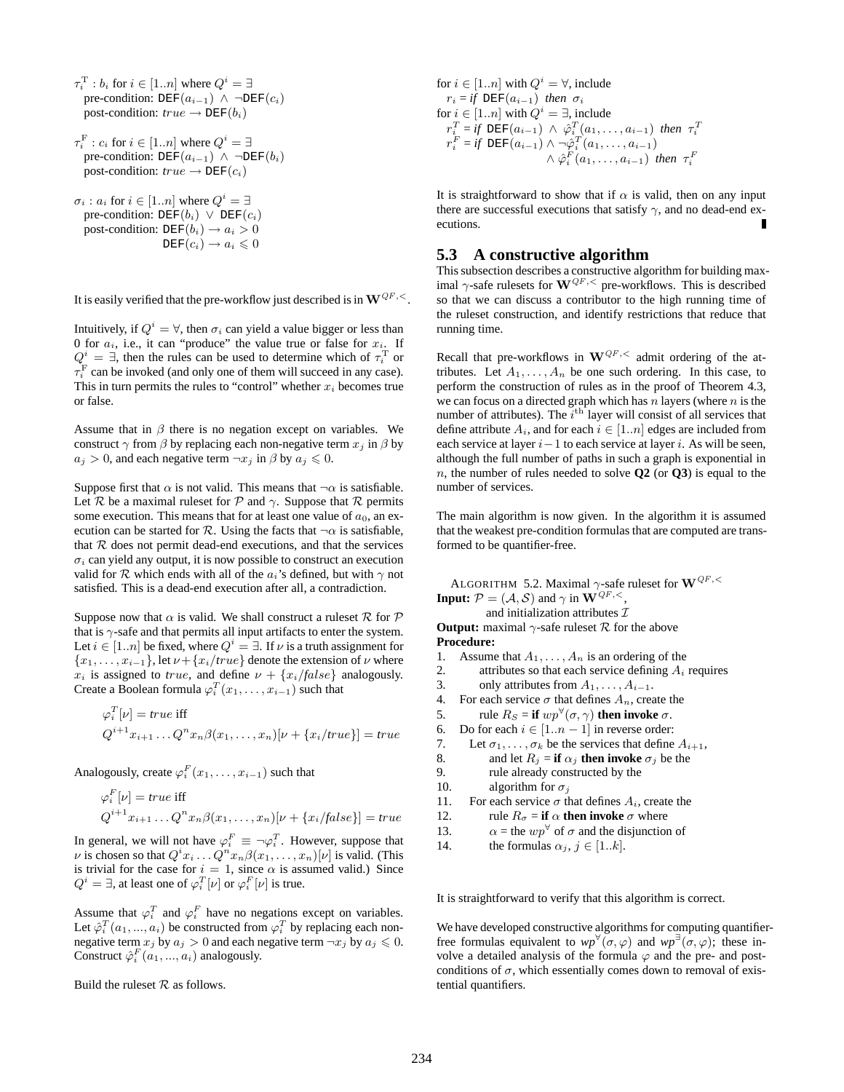$\tau_i^{\mathrm{T}}: b_i$  for  $i \in [1..n]$  where  $Q^i = \exists$ pre-condition:  $DEF(a_{i-1}) \wedge \neg DEF(c_i)$ post-condition:  $true \rightarrow DEF(b_i)$  $\tau_i^{\mathrm{F}}: c_i$  for  $i \in [1..n]$  where  $Q^i = \exists$ pre-condition:  $DEF(a_{i-1}) \wedge \neg DEF(b_i)$ post-condition:  $true \rightarrow DEF(c_i)$  $\sigma_i$ :  $a_i$  for  $i \in [1..n]$  where  $Q^i = \exists$ pre-condition:  $DEF(b_i) \lor DEF(c_i)$ post-condition:  $DEF(b_i) \rightarrow a_i > 0$  $DEF(c_i) \to a_i \leqslant 0$ 

It is easily verified that the pre-workflow just described is in  $W^{QF,<}$ .

Intuitively, if  $Q^i = \forall$ , then  $\sigma_i$  can yield a value bigger or less than 0 for  $a_i$ , i.e., it can "produce" the value true or false for  $x_i$ . If  $Q^i = \exists$ , then the rules can be used to determine which of  $\tau_i^{\rm T}$  or  $\tau_i^{\text{F}}$  can be invoked (and only one of them will succeed in any case). This in turn permits the rules to "control" whether  $x_i$  becomes true or false.

Assume that in  $\beta$  there is no negation except on variables. We construct  $\gamma$  from  $\beta$  by replacing each non-negative term  $x_i$  in  $\beta$  by  $a_j > 0$ , and each negative term  $\neg x_j$  in  $\beta$  by  $a_j \leq 0$ .

Suppose first that  $\alpha$  is not valid. This means that  $\neg \alpha$  is satisfiable. Let R be a maximal rules for P and  $\gamma$ . Suppose that R permits some execution. This means that for at least one value of  $a_0$ , an execution can be started for  $\mathcal R$ . Using the facts that  $\neg \alpha$  is satisfiable, that  $R$  does not permit dead-end executions, and that the services  $\sigma_i$  can yield any output, it is now possible to construct an execution valid for R which ends with all of the  $a_i$ 's defined, but with  $\gamma$  not satisfied. This is a dead-end execution after all, a contradiction.

Suppose now that  $\alpha$  is valid. We shall construct a ruleset  $\mathcal R$  for  $\mathcal P$ that is  $\gamma$ -safe and that permits all input artifacts to enter the system. Let  $i \in [1..n]$  be fixed, where  $Q^i = \exists$ . If  $\nu$  is a truth assignment for  ${x_1, \ldots, x_{i-1}}$ , let  $\nu$  +  ${x_i/rue}$  denote the extension of  $\nu$  where  $x_i$  is assigned to *true*, and define  $\nu + \{x_i/false\}$  analogously. Create a Boolean formula  $\varphi_i^T(x_1, \ldots, x_{i-1})$  such that

$$
\varphi_i^T[\nu] = \text{true iff}
$$
  

$$
Q^{i+1}x_{i+1} \dots Q^n x_n \beta(x_1, \dots, x_n)[\nu + \{x_i/\text{true}\}] = \text{true}
$$

Analogously, create  $\varphi_i^F(x_1, \ldots, x_{i-1})$  such that

$$
\varphi_i^F[\nu] = true \text{ iff}
$$
  
\n
$$
Q^{i+1}x_{i+1} \dots Q^n x_n \beta(x_1, \dots, x_n)[\nu + \{x_i/false\}] = true
$$

In general, we will not have  $\varphi_i^F \equiv \neg \varphi_i^T$ . However, suppose that  $\nu$  is chosen so that  $Q^i x_i \dots Q^n x_n \beta(x_1, \dots, x_n) [\nu]$  is valid. (This is trivial for the case for  $i = 1$ , since  $\alpha$  is assumed valid.) Since  $Q^i = \exists$ , at least one of  $\varphi_i^T[\nu]$  or  $\varphi_i^F[\nu]$  is true.

Assume that  $\varphi_i^T$  and  $\varphi_i^F$  have no negations except on variables. Let  $\hat{\varphi}_i^T(a_1, ..., a_i)$  be constructed from  $\varphi_i^T$  by replacing each nonnegative term  $x_i$  by  $a_i > 0$  and each negative term  $\neg x_i$  by  $a_i \leq 0$ . Construct  $\hat{\varphi}_i^F(a_1, ..., a_i)$  analogously.

Build the ruleset  $R$  as follows.

for  $i \in [1..n]$  with  $Q^i = \forall$ , include  $r_i = if \text{DEF}(a_{i-1})$  *then*  $\sigma_i$ for  $i \in [1..n]$  with  $Q^i = \exists$ , include  $r_i^T = if \text{ DEF}(a_{i-1}) \land \hat{\varphi}_i^T(a_1, \ldots, a_{i-1}) \text{ then } \tau_i^T$ <br>  $r_i^F = if \text{ DEF}(a_{i-1}) \land \neg \hat{\varphi}_i^T(a_1, \ldots, a_{i-1})$  $\wedge \hat{\varphi}_i^F(a_1,\ldots,a_{i-1})$  then  $\tau_i^F$ 

It is straightforward to show that if  $\alpha$  is valid, then on any input there are successful executions that satisfy  $\gamma$ , and no dead-end executions.

#### **5.3 A constructive algorithm**

This subsection describes a constructive algorithm for building maximal  $\gamma$ -safe rulesets for  $\mathbf{W}^{QF,<}$  pre-workflows. This is described so that we can discuss a contributor to the high running time of the ruleset construction, and identify restrictions that reduce that running time.

Recall that pre-workflows in  $\mathbf{W}^{QF,<}$  admit ordering of the attributes. Let  $A_1, \ldots, A_n$  be one such ordering. In this case, to perform the construction of rules as in the proof of Theorem 4.3, we can focus on a directed graph which has  $n$  layers (where  $n$  is the number of attributes). The  $i<sup>th</sup>$  layer will consist of all services that define attribute  $A_i$ , and for each  $i \in [1..n]$  edges are included from each service at layer  $i-1$  to each service at layer i. As will be seen, although the full number of paths in such a graph is exponential in n, the number of rules needed to solve **Q2** (or **Q3**) is equal to the number of services.

The main algorithm is now given. In the algorithm it is assumed that the weakest pre-condition formulas that are computed are transformed to be quantifier-free.

ALGORITHM 5.2. Maximal  $\gamma$ -safe ruleset for  $\mathbf{W}^{QF,<}$ **Input:**  $\mathcal{P} = (\mathcal{A}, \mathcal{S})$  and  $\gamma$  in  $\mathbf{W}^{QF,<}$ ,

and initialization attributes  $\mathcal I$ 

**Output:** maximal  $\gamma$ -safe ruleset  $\mathcal{R}$  for the above **Procedure:**

- 1. Assume that  $A_1, \ldots, A_n$  is an ordering of the
- 2. attributes so that each service defining  $A_i$  requires
- 3. only attributes from  $A_1, \ldots, A_{i-1}$ .
- 4. For each service  $\sigma$  that defines  $A_n$ , create the
- 5. rule  $R_S = \textbf{if } wp^{\forall}(\sigma, \gamma)$  then invoke  $\sigma$ .
- 6. Do for each  $i \in [1..n-1]$  in reverse order:<br>7. Let  $\sigma_1, \ldots, \sigma_k$  be the services that define
- 7. Let  $\sigma_1, \ldots, \sigma_k$  be the services that define  $A_{i+1}$ ,<br>8. and let  $R_i = \textbf{if } \alpha_i$  then invoke  $\sigma_i$  be the
- 8. and let  $R_j = \textbf{if } \alpha_j \textbf{ then invoke } \sigma_j$  be the <br>9. **i** rule already constructed by the
- rule already constructed by the
- 10. algorithm for  $\sigma_i$
- 11. For each service  $\sigma$  that defines  $A_i$ , create the
- 12. rule  $R_{\sigma} =$  **if**  $\alpha$  **then invoke**  $\sigma$  where
- 13.  $\alpha = \text{the } wp^{\forall}$  of  $\sigma$  and the disjunction of
- 14. the formulas  $\alpha_j$ ,  $j \in [1..k]$ .

It is straightforward to verify that this algorithm is correct.

We have developed constructive algorithms for computing quantifierfree formulas equivalent to  $wp^{\forall}(\sigma,\varphi)$  and  $wp^{\exists}(\sigma,\varphi)$ ; these involve a detailed analysis of the formula  $\varphi$  and the pre- and postconditions of  $\sigma$ , which essentially comes down to removal of existential quantifiers.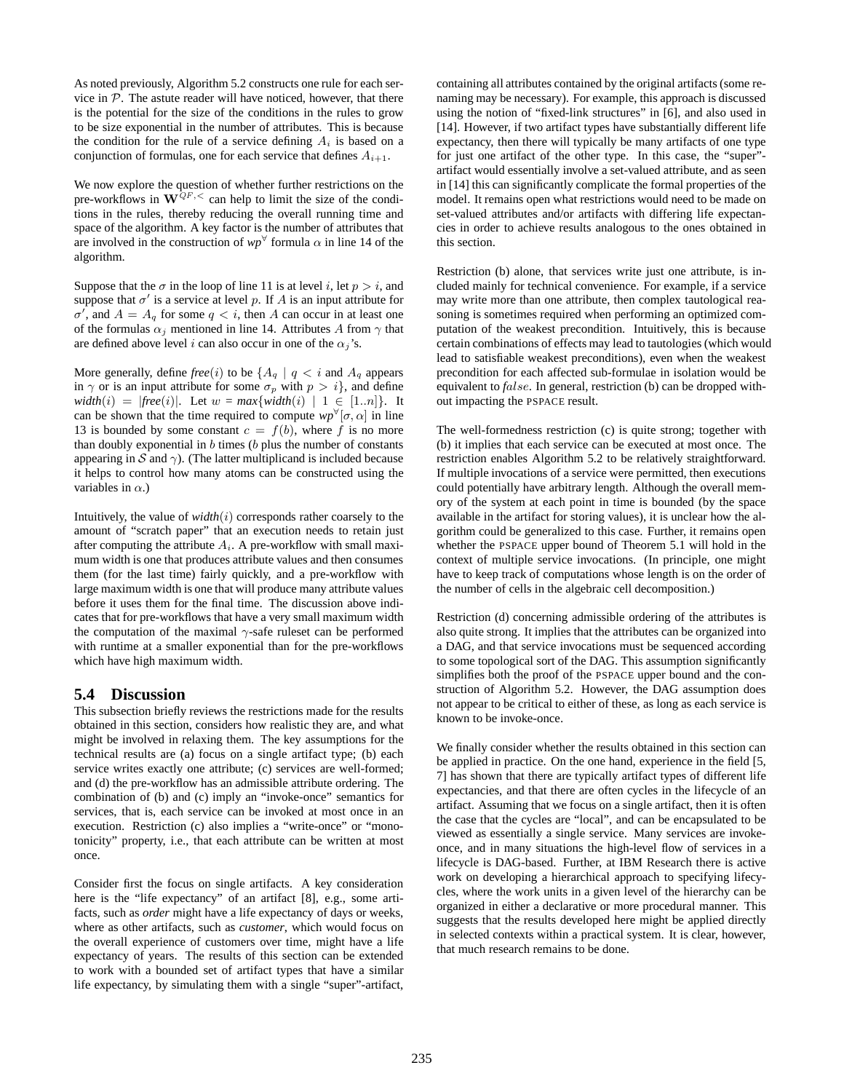As noted previously, Algorithm 5.2 constructs one rule for each service in  $P$ . The astute reader will have noticed, however, that there is the potential for the size of the conditions in the rules to grow to be size exponential in the number of attributes. This is because the condition for the rule of a service defining  $A_i$  is based on a conjunction of formulas, one for each service that defines  $A_{i+1}$ .

We now explore the question of whether further restrictions on the pre-workflows in  $\mathbf{W}^{QF,<}$  can help to limit the size of the conditions in the rules, thereby reducing the overall running time and space of the algorithm. A key factor is the number of attributes that are involved in the construction of  $wp^{\forall}$  formula  $\alpha$  in line 14 of the algorithm.

Suppose that the  $\sigma$  in the loop of line 11 is at level i, let  $p > i$ , and suppose that  $\sigma'$  is a service at level p. If A is an input attribute for  $\sigma'$ , and  $A = A_q$  for some  $q \lt i$ , then A can occur in at least one of the formulas  $\alpha_i$  mentioned in line 14. Attributes A from  $\gamma$  that are defined above level i can also occur in one of the  $\alpha_j$ 's.

More generally, define *free*(*i*) to be  $\{A_q \mid q \lt i \text{ and } A_q \text{ appears}$ in  $\gamma$  or is an input attribute for some  $\sigma_p$  with  $p > i$ , and define  $width(i) = |free(i)|$ . Let  $w = max{width(i) | 1 \in [1..n]}$ . It can be shown that the time required to compute  $wp^{\forall}[\sigma, \alpha]$  in line 13 is bounded by some constant  $c = f(b)$ , where f is no more than doubly exponential in  $b$  times ( $b$  plus the number of constants appearing in S and  $\gamma$ ). (The latter multiplicand is included because it helps to control how many atoms can be constructed using the variables in  $\alpha$ .)

Intuitively, the value of  $width(i)$  corresponds rather coarsely to the amount of "scratch paper" that an execution needs to retain just after computing the attribute  $A_i$ . A pre-workflow with small maximum width is one that produces attribute values and then consumes them (for the last time) fairly quickly, and a pre-workflow with large maximum width is one that will produce many attribute values before it uses them for the final time. The discussion above indicates that for pre-workflows that have a very small maximum width the computation of the maximal  $\gamma$ -safe ruleset can be performed with runtime at a smaller exponential than for the pre-workflows which have high maximum width.

### **5.4 Discussion**

This subsection briefly reviews the restrictions made for the results obtained in this section, considers how realistic they are, and what might be involved in relaxing them. The key assumptions for the technical results are (a) focus on a single artifact type; (b) each service writes exactly one attribute; (c) services are well-formed; and (d) the pre-workflow has an admissible attribute ordering. The combination of (b) and (c) imply an "invoke-once" semantics for services, that is, each service can be invoked at most once in an execution. Restriction (c) also implies a "write-once" or "monotonicity" property, i.e., that each attribute can be written at most once.

Consider first the focus on single artifacts. A key consideration here is the "life expectancy" of an artifact [8], e.g., some artifacts, such as *order* might have a life expectancy of days or weeks, where as other artifacts, such as *customer*, which would focus on the overall experience of customers over time, might have a life expectancy of years. The results of this section can be extended to work with a bounded set of artifact types that have a similar life expectancy, by simulating them with a single "super"-artifact, containing all attributes contained by the original artifacts (some renaming may be necessary). For example, this approach is discussed using the notion of "fixed-link structures" in [6], and also used in [14]. However, if two artifact types have substantially different life expectancy, then there will typically be many artifacts of one type for just one artifact of the other type. In this case, the "super" artifact would essentially involve a set-valued attribute, and as seen in [14] this can significantly complicate the formal properties of the model. It remains open what restrictions would need to be made on set-valued attributes and/or artifacts with differing life expectancies in order to achieve results analogous to the ones obtained in this section.

Restriction (b) alone, that services write just one attribute, is included mainly for technical convenience. For example, if a service may write more than one attribute, then complex tautological reasoning is sometimes required when performing an optimized computation of the weakest precondition. Intuitively, this is because certain combinations of effects may lead to tautologies (which would lead to satisfiable weakest preconditions), even when the weakest precondition for each affected sub-formulae in isolation would be equivalent to *f*alse. In general, restriction (b) can be dropped without impacting the PSPACE result.

The well-formedness restriction (c) is quite strong; together with (b) it implies that each service can be executed at most once. The restriction enables Algorithm 5.2 to be relatively straightforward. If multiple invocations of a service were permitted, then executions could potentially have arbitrary length. Although the overall memory of the system at each point in time is bounded (by the space available in the artifact for storing values), it is unclear how the algorithm could be generalized to this case. Further, it remains open whether the PSPACE upper bound of Theorem 5.1 will hold in the context of multiple service invocations. (In principle, one might have to keep track of computations whose length is on the order of the number of cells in the algebraic cell decomposition.)

Restriction (d) concerning admissible ordering of the attributes is also quite strong. It implies that the attributes can be organized into a DAG, and that service invocations must be sequenced according to some topological sort of the DAG. This assumption significantly simplifies both the proof of the PSPACE upper bound and the construction of Algorithm 5.2. However, the DAG assumption does not appear to be critical to either of these, as long as each service is known to be invoke-once.

We finally consider whether the results obtained in this section can be applied in practice. On the one hand, experience in the field [5, 7] has shown that there are typically artifact types of different life expectancies, and that there are often cycles in the lifecycle of an artifact. Assuming that we focus on a single artifact, then it is often the case that the cycles are "local", and can be encapsulated to be viewed as essentially a single service. Many services are invokeonce, and in many situations the high-level flow of services in a lifecycle is DAG-based. Further, at IBM Research there is active work on developing a hierarchical approach to specifying lifecycles, where the work units in a given level of the hierarchy can be organized in either a declarative or more procedural manner. This suggests that the results developed here might be applied directly in selected contexts within a practical system. It is clear, however, that much research remains to be done.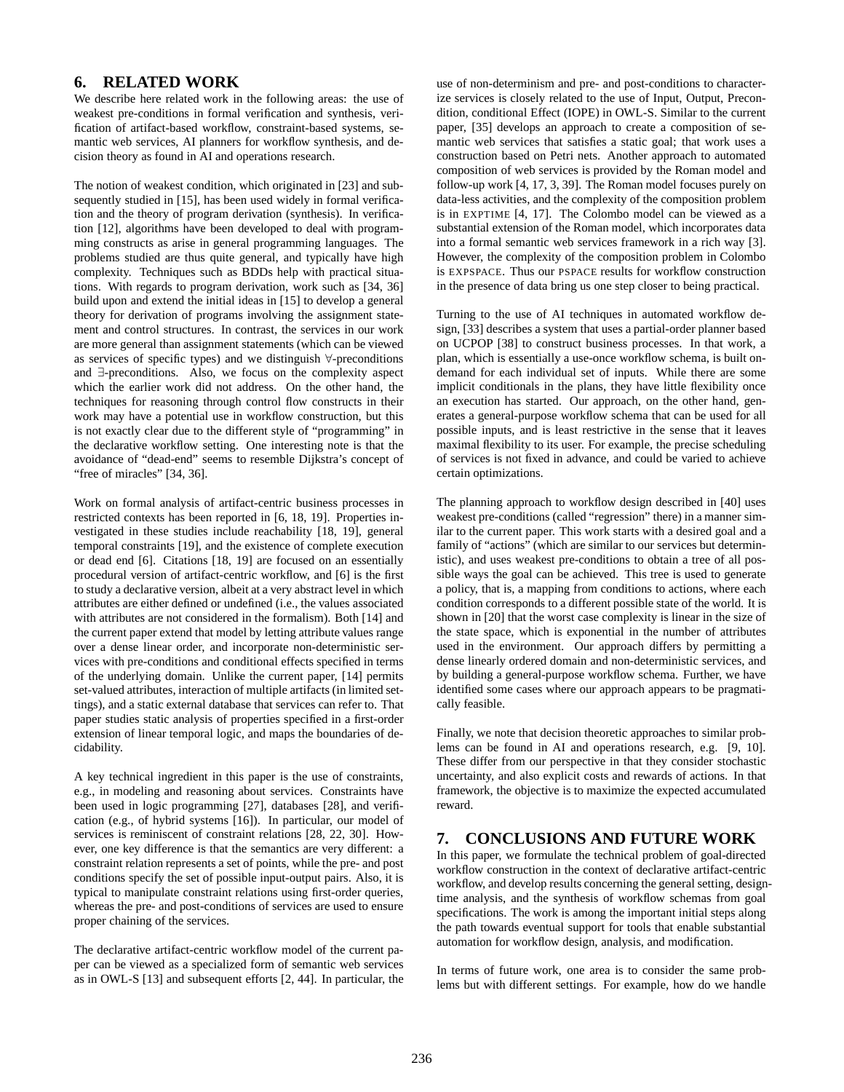### **6. RELATED WORK**

We describe here related work in the following areas: the use of weakest pre-conditions in formal verification and synthesis, verification of artifact-based workflow, constraint-based systems, semantic web services, AI planners for workflow synthesis, and decision theory as found in AI and operations research.

The notion of weakest condition, which originated in [23] and subsequently studied in [15], has been used widely in formal verification and the theory of program derivation (synthesis). In verification [12], algorithms have been developed to deal with programming constructs as arise in general programming languages. The problems studied are thus quite general, and typically have high complexity. Techniques such as BDDs help with practical situations. With regards to program derivation, work such as [34, 36] build upon and extend the initial ideas in [15] to develop a general theory for derivation of programs involving the assignment statement and control structures. In contrast, the services in our work are more general than assignment statements (which can be viewed as services of specific types) and we distinguish ∀-preconditions and ∃-preconditions. Also, we focus on the complexity aspect which the earlier work did not address. On the other hand, the techniques for reasoning through control flow constructs in their work may have a potential use in workflow construction, but this is not exactly clear due to the different style of "programming" in the declarative workflow setting. One interesting note is that the avoidance of "dead-end" seems to resemble Dijkstra's concept of "free of miracles" [34, 36].

Work on formal analysis of artifact-centric business processes in restricted contexts has been reported in [6, 18, 19]. Properties investigated in these studies include reachability [18, 19], general temporal constraints [19], and the existence of complete execution or dead end [6]. Citations [18, 19] are focused on an essentially procedural version of artifact-centric workflow, and [6] is the first to study a declarative version, albeit at a very abstract level in which attributes are either defined or undefined (i.e., the values associated with attributes are not considered in the formalism). Both [14] and the current paper extend that model by letting attribute values range over a dense linear order, and incorporate non-deterministic services with pre-conditions and conditional effects specified in terms of the underlying domain. Unlike the current paper, [14] permits set-valued attributes, interaction of multiple artifacts (in limited settings), and a static external database that services can refer to. That paper studies static analysis of properties specified in a first-order extension of linear temporal logic, and maps the boundaries of decidability.

A key technical ingredient in this paper is the use of constraints, e.g., in modeling and reasoning about services. Constraints have been used in logic programming [27], databases [28], and verification (e.g., of hybrid systems [16]). In particular, our model of services is reminiscent of constraint relations [28, 22, 30]. However, one key difference is that the semantics are very different: a constraint relation represents a set of points, while the pre- and post conditions specify the set of possible input-output pairs. Also, it is typical to manipulate constraint relations using first-order queries, whereas the pre- and post-conditions of services are used to ensure proper chaining of the services.

The declarative artifact-centric workflow model of the current paper can be viewed as a specialized form of semantic web services as in OWL-S [13] and subsequent efforts [2, 44]. In particular, the use of non-determinism and pre- and post-conditions to characterize services is closely related to the use of Input, Output, Precondition, conditional Effect (IOPE) in OWL-S. Similar to the current paper, [35] develops an approach to create a composition of semantic web services that satisfies a static goal; that work uses a construction based on Petri nets. Another approach to automated composition of web services is provided by the Roman model and follow-up work [4, 17, 3, 39]. The Roman model focuses purely on data-less activities, and the complexity of the composition problem is in EXPTIME [4, 17]. The Colombo model can be viewed as a substantial extension of the Roman model, which incorporates data into a formal semantic web services framework in a rich way [3]. However, the complexity of the composition problem in Colombo is EXPSPACE. Thus our PSPACE results for workflow construction in the presence of data bring us one step closer to being practical.

Turning to the use of AI techniques in automated workflow design, [33] describes a system that uses a partial-order planner based on UCPOP [38] to construct business processes. In that work, a plan, which is essentially a use-once workflow schema, is built ondemand for each individual set of inputs. While there are some implicit conditionals in the plans, they have little flexibility once an execution has started. Our approach, on the other hand, generates a general-purpose workflow schema that can be used for all possible inputs, and is least restrictive in the sense that it leaves maximal flexibility to its user. For example, the precise scheduling of services is not fixed in advance, and could be varied to achieve certain optimizations.

The planning approach to workflow design described in [40] uses weakest pre-conditions (called "regression" there) in a manner similar to the current paper. This work starts with a desired goal and a family of "actions" (which are similar to our services but deterministic), and uses weakest pre-conditions to obtain a tree of all possible ways the goal can be achieved. This tree is used to generate a policy, that is, a mapping from conditions to actions, where each condition corresponds to a different possible state of the world. It is shown in [20] that the worst case complexity is linear in the size of the state space, which is exponential in the number of attributes used in the environment. Our approach differs by permitting a dense linearly ordered domain and non-deterministic services, and by building a general-purpose workflow schema. Further, we have identified some cases where our approach appears to be pragmatically feasible.

Finally, we note that decision theoretic approaches to similar problems can be found in AI and operations research, e.g. [9, 10]. These differ from our perspective in that they consider stochastic uncertainty, and also explicit costs and rewards of actions. In that framework, the objective is to maximize the expected accumulated reward.

### **7. CONCLUSIONS AND FUTURE WORK**

In this paper, we formulate the technical problem of goal-directed workflow construction in the context of declarative artifact-centric workflow, and develop results concerning the general setting, designtime analysis, and the synthesis of workflow schemas from goal specifications. The work is among the important initial steps along the path towards eventual support for tools that enable substantial automation for workflow design, analysis, and modification.

In terms of future work, one area is to consider the same problems but with different settings. For example, how do we handle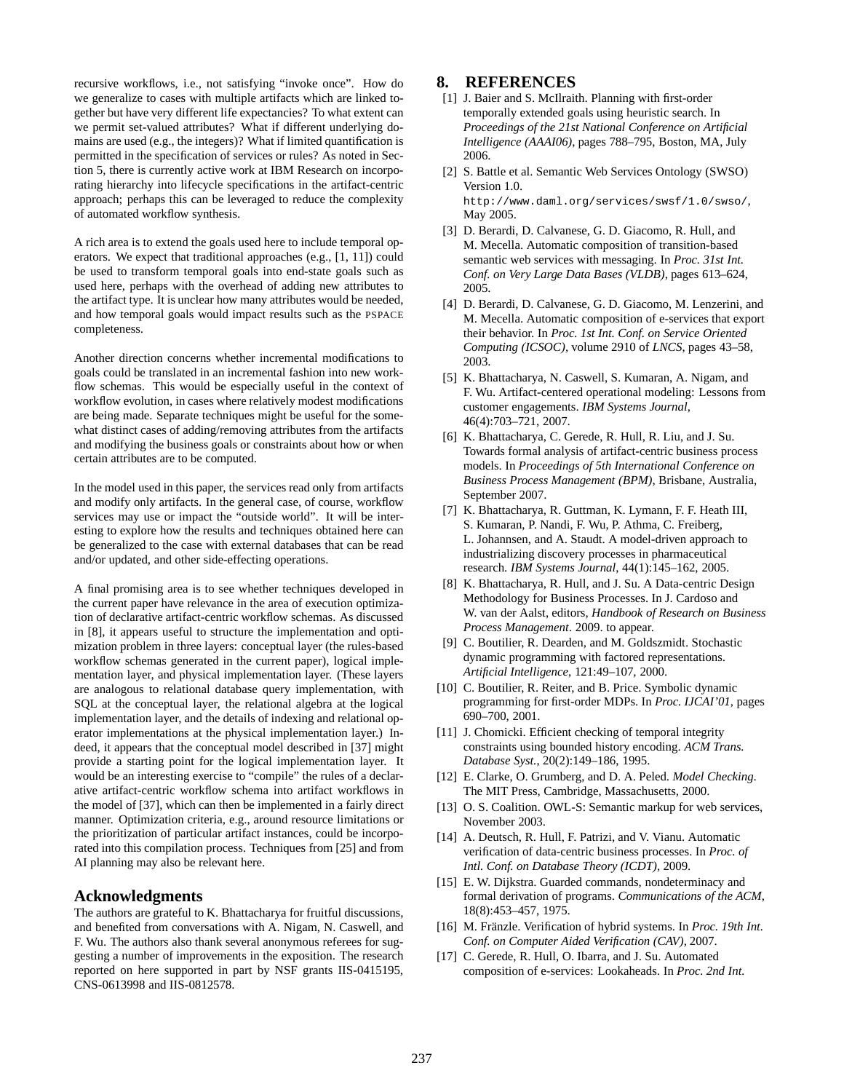recursive workflows, i.e., not satisfying "invoke once". How do we generalize to cases with multiple artifacts which are linked together but have very different life expectancies? To what extent can we permit set-valued attributes? What if different underlying domains are used (e.g., the integers)? What if limited quantification is permitted in the specification of services or rules? As noted in Section 5, there is currently active work at IBM Research on incorporating hierarchy into lifecycle specifications in the artifact-centric approach; perhaps this can be leveraged to reduce the complexity of automated workflow synthesis.

A rich area is to extend the goals used here to include temporal operators. We expect that traditional approaches (e.g., [1, 11]) could be used to transform temporal goals into end-state goals such as used here, perhaps with the overhead of adding new attributes to the artifact type. It is unclear how many attributes would be needed, and how temporal goals would impact results such as the PSPACE completeness.

Another direction concerns whether incremental modifications to goals could be translated in an incremental fashion into new workflow schemas. This would be especially useful in the context of workflow evolution, in cases where relatively modest modifications are being made. Separate techniques might be useful for the somewhat distinct cases of adding/removing attributes from the artifacts and modifying the business goals or constraints about how or when certain attributes are to be computed.

In the model used in this paper, the services read only from artifacts and modify only artifacts. In the general case, of course, workflow services may use or impact the "outside world". It will be interesting to explore how the results and techniques obtained here can be generalized to the case with external databases that can be read and/or updated, and other side-effecting operations.

A final promising area is to see whether techniques developed in the current paper have relevance in the area of execution optimization of declarative artifact-centric workflow schemas. As discussed in [8], it appears useful to structure the implementation and optimization problem in three layers: conceptual layer (the rules-based workflow schemas generated in the current paper), logical implementation layer, and physical implementation layer. (These layers are analogous to relational database query implementation, with SQL at the conceptual layer, the relational algebra at the logical implementation layer, and the details of indexing and relational operator implementations at the physical implementation layer.) Indeed, it appears that the conceptual model described in [37] might provide a starting point for the logical implementation layer. It would be an interesting exercise to "compile" the rules of a declarative artifact-centric workflow schema into artifact workflows in the model of [37], which can then be implemented in a fairly direct manner. Optimization criteria, e.g., around resource limitations or the prioritization of particular artifact instances, could be incorporated into this compilation process. Techniques from [25] and from AI planning may also be relevant here.

### **Acknowledgments**

The authors are grateful to K. Bhattacharya for fruitful discussions, and benefited from conversations with A. Nigam, N. Caswell, and F. Wu. The authors also thank several anonymous referees for suggesting a number of improvements in the exposition. The research reported on here supported in part by NSF grants IIS-0415195, CNS-0613998 and IIS-0812578.

### **8. REFERENCES**

- [1] J. Baier and S. McIlraith. Planning with first-order temporally extended goals using heuristic search. In *Proceedings of the 21st National Conference on Artificial Intelligence (AAAI06)*, pages 788–795, Boston, MA, July 2006.
- [2] S. Battle et al. Semantic Web Services Ontology (SWSO) Version 1.0. http://www.daml.org/services/swsf/1.0/swso/, May 2005.
- [3] D. Berardi, D. Calvanese, G. D. Giacomo, R. Hull, and M. Mecella. Automatic composition of transition-based semantic web services with messaging. In *Proc. 31st Int. Conf. on Very Large Data Bases (VLDB)*, pages 613–624, 2005.
- [4] D. Berardi, D. Calvanese, G. D. Giacomo, M. Lenzerini, and M. Mecella. Automatic composition of e-services that export their behavior. In *Proc. 1st Int. Conf. on Service Oriented Computing (ICSOC)*, volume 2910 of *LNCS*, pages 43–58, 2003.
- [5] K. Bhattacharya, N. Caswell, S. Kumaran, A. Nigam, and F. Wu. Artifact-centered operational modeling: Lessons from customer engagements. *IBM Systems Journal*, 46(4):703–721, 2007.
- [6] K. Bhattacharya, C. Gerede, R. Hull, R. Liu, and J. Su. Towards formal analysis of artifact-centric business process models. In *Proceedings of 5th International Conference on Business Process Management (BPM)*, Brisbane, Australia, September 2007.
- [7] K. Bhattacharya, R. Guttman, K. Lymann, F. F. Heath III, S. Kumaran, P. Nandi, F. Wu, P. Athma, C. Freiberg, L. Johannsen, and A. Staudt. A model-driven approach to industrializing discovery processes in pharmaceutical research. *IBM Systems Journal*, 44(1):145–162, 2005.
- [8] K. Bhattacharya, R. Hull, and J. Su. A Data-centric Design Methodology for Business Processes. In J. Cardoso and W. van der Aalst, editors, *Handbook of Research on Business Process Management*. 2009. to appear.
- [9] C. Boutilier, R. Dearden, and M. Goldszmidt. Stochastic dynamic programming with factored representations. *Artificial Intelligence*, 121:49–107, 2000.
- [10] C. Boutilier, R. Reiter, and B. Price. Symbolic dynamic programming for first-order MDPs. In *Proc. IJCAI'01*, pages 690–700, 2001.
- [11] J. Chomicki. Efficient checking of temporal integrity constraints using bounded history encoding. *ACM Trans. Database Syst.*, 20(2):149–186, 1995.
- [12] E. Clarke, O. Grumberg, and D. A. Peled. *Model Checking*. The MIT Press, Cambridge, Massachusetts, 2000.
- [13] O. S. Coalition. OWL-S: Semantic markup for web services, November 2003.
- [14] A. Deutsch, R. Hull, F. Patrizi, and V. Vianu. Automatic verification of data-centric business processes. In *Proc. of Intl. Conf. on Database Theory (ICDT)*, 2009.
- [15] E. W. Dijkstra. Guarded commands, nondeterminacy and formal derivation of programs. *Communications of the ACM*, 18(8):453–457, 1975.
- [16] M. Fränzle. Verification of hybrid systems. In *Proc. 19th Int. Conf. on Computer Aided Verification (CAV)*, 2007.
- [17] C. Gerede, R. Hull, O. Ibarra, and J. Su. Automated composition of e-services: Lookaheads. In *Proc. 2nd Int.*